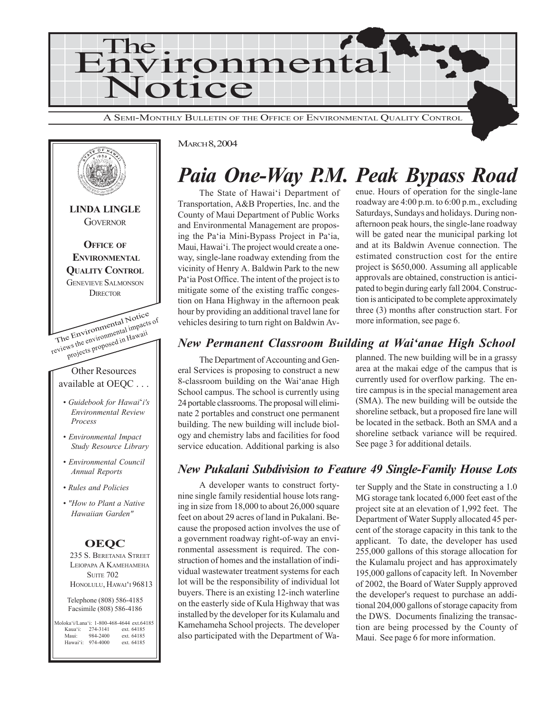



## *Paia One-Way P.M. Peak Bypass Road*

The State of Hawai'i Department of Transportation, A&B Properties, Inc. and the County of Maui Department of Public Works and Environmental Management are proposing the Pa'ia Mini-Bypass Project in Pa'ia, Maui, Hawai'i. The project would create a oneway, single-lane roadway extending from the vicinity of Henry A. Baldwin Park to the new Pa'ia Post Office. The intent of the project is to mitigate some of the existing traffic congestion on Hana Highway in the afternoon peak hour by providing an additional travel lane for vehicles desiring to turn right on Baldwin Avenue. Hours of operation for the single-lane roadway are 4:00 p.m. to 6:00 p.m., excluding Saturdays, Sundays and holidays. During nonafternoon peak hours, the single-lane roadway will be gated near the municipal parking lot and at its Baldwin Avenue connection. The estimated construction cost for the entire project is \$650,000. Assuming all applicable approvals are obtained, construction is anticipated to begin during early fall 2004. Construction is anticipated to be complete approximately three (3) months after construction start. For more information, see page 6.

## *New Permanent Classroom Building at Wai'anae High School*

The Department of Accounting and General Services is proposing to construct a new 8-classroom building on the Wai'anae High School campus. The school is currently using 24 portable classrooms. The proposal will eliminate 2 portables and construct one permanent building. The new building will include biology and chemistry labs and facilities for food service education. Additional parking is also planned. The new building will be in a grassy area at the makai edge of the campus that is currently used for overflow parking. The entire campus is in the special management area (SMA). The new building will be outside the shoreline setback, but a proposed fire lane will be located in the setback. Both an SMA and a shoreline setback variance will be required. See page 3 for additional details.

## *New Pukalani Subdivision to Feature 49 Single-Family House Lots*

A developer wants to construct fortynine single family residential house lots ranging in size from 18,000 to about 26,000 square feet on about 29 acres of land in Pukalani. Because the proposed action involves the use of a government roadway right-of-way an environmental assessment is required. The construction of homes and the installation of individual wastewater treatment systems for each lot will be the responsibility of individual lot buyers. There is an existing 12-inch waterline on the easterly side of Kula Highway that was installed by the developer for its Kulamalu and Kamehameha School projects. The developer also participated with the Department of Wa-

ter Supply and the State in constructing a 1.0 MG storage tank located 6,000 feet east of the project site at an elevation of 1,992 feet. The Department of Water Supply allocated 45 percent of the storage capacity in this tank to the applicant. To date, the developer has used 255,000 gallons of this storage allocation for the Kulamalu project and has approximately 195,000 gallons of capacity left. In November of 2002, the Board of Water Supply approved the developer's request to purchase an additional 204,000 gallons of storage capacity from the DWS. Documents finalizing the transaction are being processed by the County of Maui. See page 6 for more information.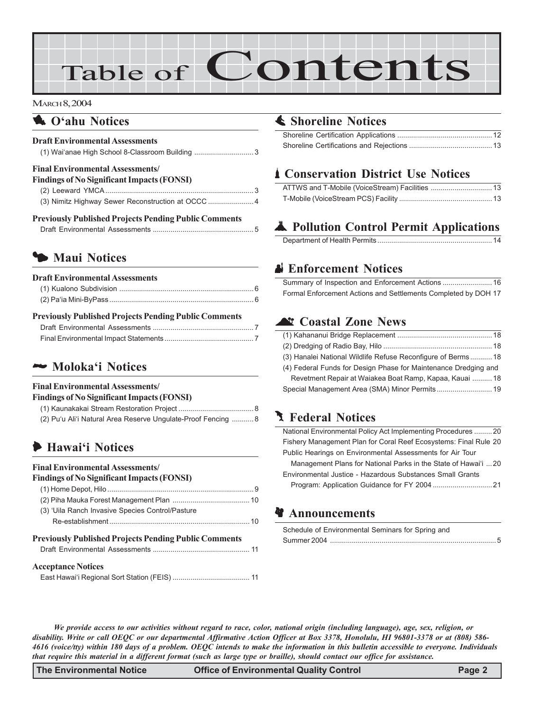# Table of Contents

#### MARCH 8, 2004

## **1** O'ahu Notices

### **Draft Environmental Assessments**

| (1) Wai'anae High School 8-Classroom Building 3   |  |
|---------------------------------------------------|--|
| <b>Final Environmental Assessments</b>            |  |
| <b>Findings of No Significant Impacts (FONSI)</b> |  |
|                                                   |  |
|                                                   |  |

| <b>Previously Published Projects Pending Public Comments</b> |  |
|--------------------------------------------------------------|--|
|                                                              |  |

## 3 **Maui Notices**

| <b>Draft Environmental Assessments</b> |  |
|----------------------------------------|--|
|                                        |  |
|                                        |  |

#### **Previously Published Projects Pending Public Comments**

## 2 **Moloka'i Notices**

#### **Final Environmental Assessments/**

| <b>Findings of No Significant Impacts (FONSI)</b>             |  |
|---------------------------------------------------------------|--|
|                                                               |  |
| (2) Pu'u Ali'i Natural Area Reserve Ungulate-Proof Fencing  8 |  |

## 6 **Hawai'i Notices**

#### **Final Environmental Assessments/**

#### **Findings of No Significant Impacts (FONSI)**

| (3) 'Uila Ranch Invasive Species Control/Pasture             |  |  |  |
|--------------------------------------------------------------|--|--|--|
|                                                              |  |  |  |
| <b>Previously Published Projects Pending Public Comments</b> |  |  |  |
| <b>Acceptance Notices</b>                                    |  |  |  |

## s **Shoreline Notices**

## \* **Conservation District Use Notices**

## V **Pollution Control Permit Applications**

## x **Enforcement Notices**

| 16 Summary of Inspection and Enforcement Actions               |  |
|----------------------------------------------------------------|--|
| Formal Enforcement Actions and Settlements Completed by DOH 17 |  |

## ^ **Coastal Zone News**

| (3) Hanalei National Wildlife Refuse Reconfigure of Berms 18    |  |
|-----------------------------------------------------------------|--|
| (4) Federal Funds for Design Phase for Maintenance Dredging and |  |
| Revetment Repair at Waiakea Boat Ramp, Kapaa, Kauai  18         |  |
| Special Management Area (SMA) Minor Permits 19                  |  |

## **J** Federal Notices

| National Environmental Policy Act Implementing Procedures 20     |
|------------------------------------------------------------------|
| Fishery Management Plan for Coral Reef Ecosystems: Final Rule 20 |
| Public Hearings on Environmental Assessments for Air Tour        |
| Management Plans for National Parks in the State of Hawai'i 20   |
| Environmental Justice - Hazardous Substances Small Grants        |
|                                                                  |

## **Announcements**

| Schedule of Environmental Seminars for Spring and |  |
|---------------------------------------------------|--|
|                                                   |  |

*We provide access to our activities without regard to race, color, national origin (including language), age, sex, religion, or disability. Write or call OEQC or our departmental Affirmative Action Officer at Box 3378, Honolulu, HI 96801-3378 or at (808) 586- 4616 (voice/tty) within 180 days of a problem. OEQC intends to make the information in this bulletin accessible to everyone. Individuals that require this material in a different format (such as large type or braille), should contact our office for assistance.*

**The Environmental Notice Office of Environmental Quality Control Page 2**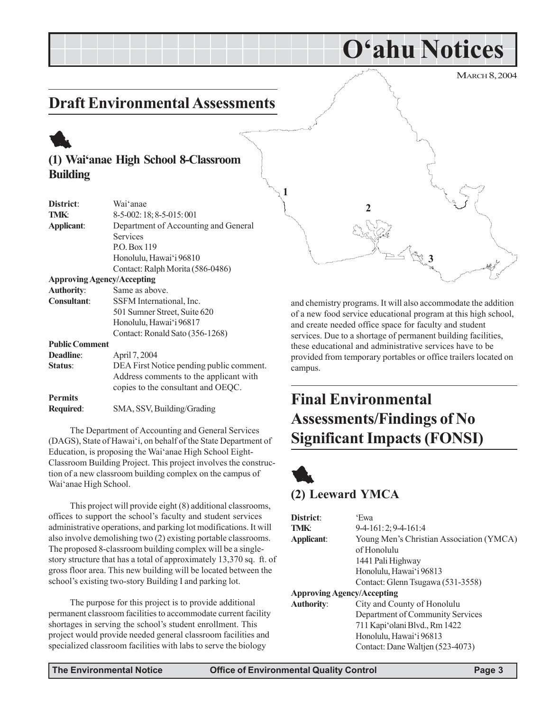MARCH 8, 2004 **O'ahu Notices Draft Environmental Assessments (1) Wai'anae High School 8-Classroom Building District**: Wai'anae **TMK**: 8-5-002: 18; 8-5-015: 001 **Applicant**: Department of Accounting and General Services P.O. Box 119 Honolulu, Hawai'i 96810 Contact: Ralph Morita (586-0486) **Approving Agency/Accepting 1 3 2**

> and chemistry programs. It will also accommodate the addition of a new food service educational program at this high school, and create needed office space for faculty and student services. Due to a shortage of permanent building facilities, these educational and administrative services have to be provided from temporary portables or office trailers located on campus.

## **Final Environmental Assessments/Findings of No Significant Impacts (FONSI)**

## 1 **(2) Leeward YMCA**

| District:                         | 'Ewa                                     |
|-----------------------------------|------------------------------------------|
| <b>TMK:</b>                       | $9-4-161:2; 9-4-161:4$                   |
| Applicant:                        | Young Men's Christian Association (YMCA) |
|                                   | of Honolulu                              |
|                                   | 1441 Pali Highway                        |
|                                   | Honolulu, Hawai'i 96813                  |
|                                   | Contact: Glenn Tsugawa (531-3558)        |
| <b>Approving Agency/Accepting</b> |                                          |
| <b>Authority:</b>                 | City and County of Honolulu              |
|                                   | Department of Community Services         |
|                                   | 711 Kapi'olani Blvd., Rm 1422            |
|                                   | Honolulu, Hawai'i 96813                  |
|                                   | Contact: Dane Waltjen (523-4073)         |

1

**Authority**: Same as above.

**Deadline**: April 7, 2004

**Public Comment**

Wai'anae High School.

**Permits**

**Consultant**: SSFM International, Inc.

**Required**: SMA, SSV, Building/Grading

501 Sumner Street, Suite 620 Honolulu, Hawai'i 96817 Contact: Ronald Sato (356-1268)

**Status**: DEA First Notice pending public comment.

The Department of Accounting and General Services (DAGS), State of Hawai'i, on behalf of the State Department of Education, is proposing the Wai'anae High School Eight-Classroom Building Project. This project involves the construction of a new classroom building complex on the campus of

This project will provide eight (8) additional classrooms,

offices to support the school's faculty and student services administrative operations, and parking lot modifications. It will also involve demolishing two (2) existing portable classrooms. The proposed 8-classroom building complex will be a singlestory structure that has a total of approximately 13,370 sq. ft. of gross floor area. This new building will be located between the

school's existing two-story Building I and parking lot.

The purpose for this project is to provide additional permanent classroom facilities to accommodate current facility shortages in serving the school's student enrollment. This project would provide needed general classroom facilities and specialized classroom facilities with labs to serve the biology

Address comments to the applicant with copies to the consultant and OEQC.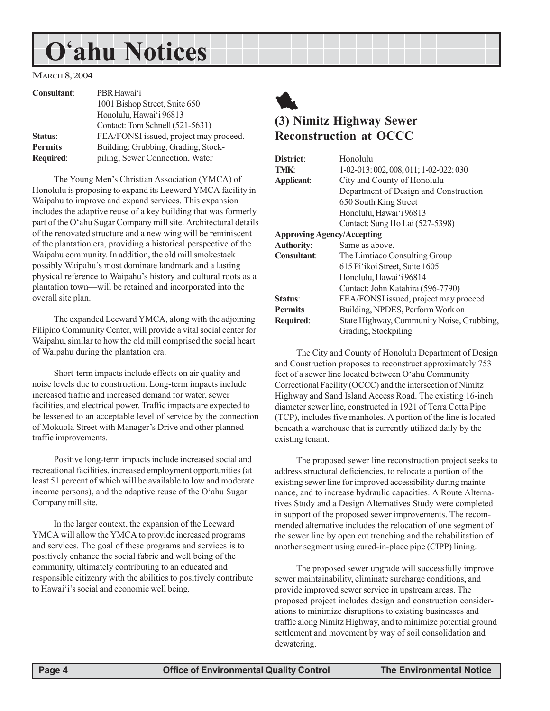## **O'ahu Notices**

MARCH 8, 2004

| <b>Consultant:</b> | PBR Hawai'i                            |
|--------------------|----------------------------------------|
|                    | 1001 Bishop Street, Suite 650          |
|                    | Honolulu, Hawai'i 96813                |
|                    | Contact: Tom Schnell (521-5631)        |
| Status:            | FEA/FONSI issued, project may proceed. |
| <b>Permits</b>     | Building; Grubbing, Grading, Stock-    |
| Required:          | piling; Sewer Connection, Water        |

The Young Men's Christian Association (YMCA) of Honolulu is proposing to expand its Leeward YMCA facility in Waipahu to improve and expand services. This expansion includes the adaptive reuse of a key building that was formerly part of the O'ahu Sugar Company mill site. Architectural details of the renovated structure and a new wing will be reminiscent of the plantation era, providing a historical perspective of the Waipahu community. In addition, the old mill smokestack possibly Waipahu's most dominate landmark and a lasting physical reference to Waipahu's history and cultural roots as a plantation town—will be retained and incorporated into the overall site plan.

The expanded Leeward YMCA, along with the adjoining Filipino Community Center, will provide a vital social center for Waipahu, similar to how the old mill comprised the social heart of Waipahu during the plantation era.

Short-term impacts include effects on air quality and noise levels due to construction. Long-term impacts include increased traffic and increased demand for water, sewer facilities, and electrical power. Traffic impacts are expected to be lessened to an acceptable level of service by the connection of Mokuola Street with Manager's Drive and other planned traffic improvements.

Positive long-term impacts include increased social and recreational facilities, increased employment opportunities (at least 51 percent of which will be available to low and moderate income persons), and the adaptive reuse of the O'ahu Sugar Company mill site.

In the larger context, the expansion of the Leeward YMCA will allow the YMCA to provide increased programs and services. The goal of these programs and services is to positively enhance the social fabric and well being of the community, ultimately contributing to an educated and responsible citizenry with the abilities to positively contribute to Hawai'i's social and economic well being.



## **(3) Nimitz Highway Sewer Reconstruction at OCCC**

| District:                         | Honolulu                                  |
|-----------------------------------|-------------------------------------------|
| TMK:                              | $1-02-013:002,008,011;1-02-022:030$       |
| Applicant:                        | City and County of Honolulu               |
|                                   | Department of Design and Construction     |
|                                   | 650 South King Street                     |
|                                   | Honolulu, Hawai'i 96813                   |
|                                   | Contact: Sung Ho Lai (527-5398)           |
| <b>Approving Agency/Accepting</b> |                                           |
| <b>Authority:</b>                 | Same as above.                            |
| Consultant:                       | The Limitaco Consulting Group             |
|                                   | 615 Pi'ikoi Street, Suite 1605            |
|                                   | Honolulu, Hawai'i 96814                   |
|                                   | Contact: John Katahira (596-7790)         |
| Status:                           | FEA/FONSI issued, project may proceed.    |
| <b>Permits</b>                    | Building, NPDES, Perform Work on          |
| <b>Required:</b>                  | State Highway, Community Noise, Grubbing, |
|                                   | Grading, Stockpiling                      |
|                                   |                                           |

The City and County of Honolulu Department of Design and Construction proposes to reconstruct approximately 753 feet of a sewer line located between O'ahu Community Correctional Facility (OCCC) and the intersection of Nimitz Highway and Sand Island Access Road. The existing 16-inch diameter sewer line, constructed in 1921 of Terra Cotta Pipe (TCP), includes five manholes. A portion of the line is located beneath a warehouse that is currently utilized daily by the existing tenant.

The proposed sewer line reconstruction project seeks to address structural deficiencies, to relocate a portion of the existing sewer line for improved accessibility during maintenance, and to increase hydraulic capacities. A Route Alternatives Study and a Design Alternatives Study were completed in support of the proposed sewer improvements. The recommended alternative includes the relocation of one segment of the sewer line by open cut trenching and the rehabilitation of another segment using cured-in-place pipe (CIPP) lining.

The proposed sewer upgrade will successfully improve sewer maintainability, eliminate surcharge conditions, and provide improved sewer service in upstream areas. The proposed project includes design and construction considerations to minimize disruptions to existing businesses and traffic along Nimitz Highway, and to minimize potential ground settlement and movement by way of soil consolidation and dewatering.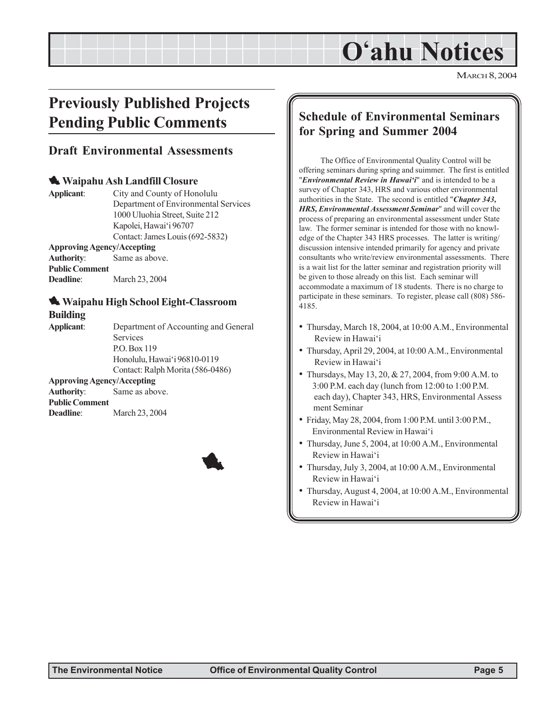## **O'ahu Notices**

MARCH 8, 2004

## **Previously Published Projects Pending Public Comments**

## **Draft Environmental Assessments**

### 1 **Waipahu Ash Landfill Closure**

**Applicant**: City and County of Honolulu Department of Environmental Services 1000 Uluohia Street, Suite 212 Kapolei, Hawai'i 96707 Contact: James Louis (692-5832) **Approving Agency/Accepting Authority**: Same as above.

**Public Comment Deadline**: March 23, 2004

### 1 **Waipahu High School Eight-Classroom Building**

**Applicant**: Department of Accounting and General Services P.O. Box 119 Honolulu, Hawai'i 96810-0119 Contact: Ralph Morita (586-0486) **Approving Agency/Accepting**

**Authority**: Same as above. **Public Comment Deadline**: March 23, 2004



## **Schedule of Environmental Seminars for Spring and Summer 2004**

The Office of Environmental Quality Control will be offering seminars during spring and suimmer. The first is entitled "*Environmental Review in Hawai'i*" and is intended to be a survey of Chapter 343, HRS and various other environmental authorities in the State. The second is entitled "*Chapter 343, HRS, Environmental Assessment Seminar*" and will cover the process of preparing an environmental assessment under State law. The former seminar is intended for those with no knowledge of the Chapter 343 HRS processes. The latter is writing/ discussion intensive intended primarily for agency and private consultants who write/review environmental assessments. There is a wait list for the latter seminar and registration priority will be given to those already on this list. Each seminar will accommodate a maximum of 18 students. There is no charge to participate in these seminars. To register, please call (808) 586- 4185.

- Thursday, March 18, 2004, at 10:00 A.M., Environmental Review in Hawai'i
- Thursday, April 29, 2004, at 10:00 A.M., Environmental Review in Hawai'i
- Thursdays, May 13, 20, & 27, 2004, from 9:00 A.M. to 3:00 P.M. each day (lunch from 12:00 to 1:00 P.M. each day), Chapter 343, HRS, Environmental Assess ment Seminar
- Friday, May 28, 2004, from 1:00 P.M. until 3:00 P.M., Environmental Review in Hawai'i
- Thursday, June 5, 2004, at 10:00 A.M., Environmental Review in Hawai'i
- Thursday, July 3, 2004, at 10:00 A.M., Environmental Review in Hawai'i
- Thursday, August 4, 2004, at 10:00 A.M., Environmental Review in Hawai'i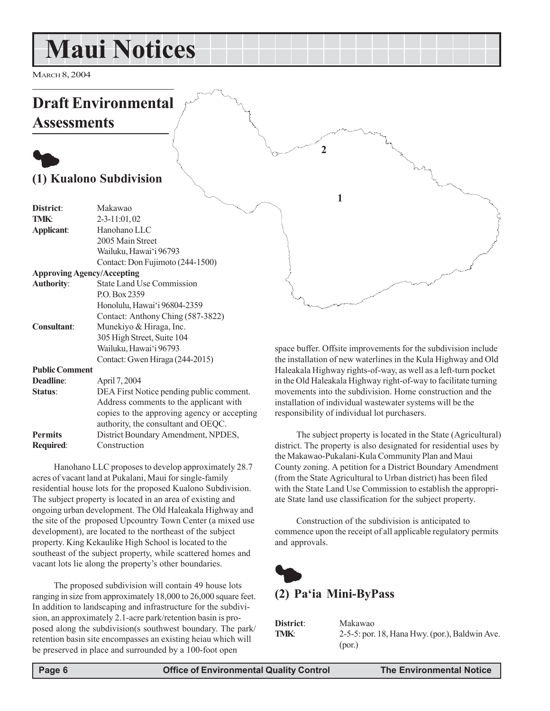## **Maui Notices**

MARCH 8, 2004

## **Draft Environmental Assessments**

## $\bullet$ **(1) Kualono Subdivision**

| District:                         | Makawao                                     |
|-----------------------------------|---------------------------------------------|
|                                   |                                             |
| TMK:                              | $2 - 3 - 11:01,02$                          |
| Applicant:                        | Hanohano LLC                                |
|                                   | 2005 Main Street                            |
|                                   | Wailuku, Hawai'i 96793                      |
|                                   | Contact: Don Fujimoto (244-1500)            |
| <b>Approving Agency/Accepting</b> |                                             |
| <b>Authority:</b>                 | <b>State Land Use Commission</b>            |
|                                   | P.O. Box 2359                               |
|                                   | Honolulu, Hawai'i 96804-2359                |
|                                   | Contact: Anthony Ching (587-3822)           |
| <b>Consultant:</b>                | Munekiyo & Hiraga, Inc.                     |
|                                   | 305 High Street, Suite 104                  |
|                                   | Wailuku, Hawai'i 96793                      |
|                                   | Contact: Gwen Hiraga (244-2015)             |
| <b>Public Comment</b>             |                                             |
| Deadline:                         | April 7, 2004                               |
| Status:                           | DEA First Notice pending public comment.    |
|                                   | Address comments to the applicant with      |
|                                   | copies to the approving agency or accepting |
|                                   | authority, the consultant and OEQC.         |
| <b>Permits</b>                    | District Boundary Amendment, NPDES,         |
| <b>Required:</b>                  | Construction                                |
|                                   |                                             |

Hanohano LLC proposes to develop approximately 28.7 acres of vacant land at Pukalani, Maui for single-family residential house lots for the proposed Kualono Subdivision. The subject property is located in an area of existing and ongoing urban development. The Old Haleakala Highway and the site of the proposed Upcountry Town Center (a mixed use development), are located to the northeast of the subject property. King Kekaulike High School is located to the southeast of the subject property, while scattered homes and vacant lots lie along the property's other boundaries.

The proposed subdivision will contain 49 house lots ranging in size from approximately 18,000 to 26,000 square feet. In addition to landscaping and infrastructure for the subdivision, an approximately 2.1-acre park/retention basin is proposed along the subdivision(s southwest boundary. The park/ retention basin site encompasses an existing heiau which will be preserved in place and surrounded by a 100-foot open

space buffer. Offsite improvements for the subdivision include the installation of new waterlines in the Kula Highway and Old Haleakala Highway rights-of-way, as well as a left-turn pocket in the Old Haleakala Highway right-of-way to facilitate turning movements into the subdivision. Home construction and the installation of individual wastewater systems will be the responsibility of individual lot purchasers.

The subject property is located in the State (Agricultural) district. The property is also designated for residential uses by the Makawao-Pukalani-Kula Community Plan and Maui County zoning. A petition for a District Boundary Amendment (from the State Agricultural to Urban district) has been filed with the State Land Use Commission to establish the appropriate State land use classification for the subject property.

Construction of the subdivision is anticipated to commence upon the receipt of all applicable regulatory permits and approvals.



## **(2) Pa'ia Mini-ByPass**

**1**

**2**

| District: | Makawao                                        |
|-----------|------------------------------------------------|
| TMK:      | 2-5-5: por. 18, Hana Hwy. (por.), Baldwin Ave. |
|           | (por.)                                         |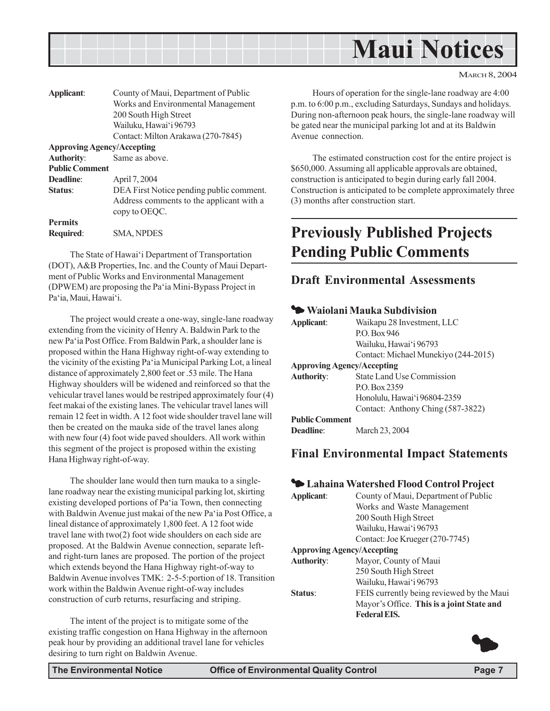

| Applicant:                        | County of Maui, Department of Public                                                                  |
|-----------------------------------|-------------------------------------------------------------------------------------------------------|
|                                   | Works and Environmental Management                                                                    |
|                                   | 200 South High Street                                                                                 |
|                                   | Wailuku, Hawai'i 96793                                                                                |
|                                   | Contact: Milton Arakawa (270-7845)                                                                    |
| <b>Approving Agency/Accepting</b> |                                                                                                       |
| <b>Authority:</b>                 | Same as above.                                                                                        |
| <b>Public Comment</b>             |                                                                                                       |
| Deadline:                         | April 7, 2004                                                                                         |
| Status:                           | DEA First Notice pending public comment.<br>Address comments to the applicant with a<br>copy to OEQC. |
| <b>Permits</b>                    |                                                                                                       |
| <b>Required:</b>                  | <b>SMA, NPDES</b>                                                                                     |

The State of Hawai'i Department of Transportation (DOT), A&B Properties, Inc. and the County of Maui Department of Public Works and Environmental Management (DPWEM) are proposing the Pa'ia Mini-Bypass Project in Pa'ia, Maui, Hawai'i.

The project would create a one-way, single-lane roadway extending from the vicinity of Henry A. Baldwin Park to the new Pa'ia Post Office. From Baldwin Park, a shoulder lane is proposed within the Hana Highway right-of-way extending to the vicinity of the existing Pa'ia Municipal Parking Lot, a lineal distance of approximately 2,800 feet or .53 mile. The Hana Highway shoulders will be widened and reinforced so that the vehicular travel lanes would be restriped approximately four (4) feet makai of the existing lanes. The vehicular travel lanes will remain 12 feet in width. A 12 foot wide shoulder travel lane will then be created on the mauka side of the travel lanes along with new four (4) foot wide paved shoulders. All work within this segment of the project is proposed within the existing Hana Highway right-of-way.

The shoulder lane would then turn mauka to a singlelane roadway near the existing municipal parking lot, skirting existing developed portions of Pa'ia Town, then connecting with Baldwin Avenue just makai of the new Pa'ia Post Office, a lineal distance of approximately 1,800 feet. A 12 foot wide travel lane with two(2) foot wide shoulders on each side are proposed. At the Baldwin Avenue connection, separate leftand right-turn lanes are proposed. The portion of the project which extends beyond the Hana Highway right-of-way to Baldwin Avenue involves TMK: 2-5-5:portion of 18. Transition work within the Baldwin Avenue right-of-way includes construction of curb returns, resurfacing and striping.

The intent of the project is to mitigate some of the existing traffic congestion on Hana Highway in the afternoon peak hour by providing an additional travel lane for vehicles desiring to turn right on Baldwin Avenue.

Hours of operation for the single-lane roadway are 4:00 p.m. to 6:00 p.m., excluding Saturdays, Sundays and holidays. During non-afternoon peak hours, the single-lane roadway will be gated near the municipal parking lot and at its Baldwin Avenue connection.

The estimated construction cost for the entire project is \$650,000. Assuming all applicable approvals are obtained, construction is anticipated to begin during early fall 2004. Construction is anticipated to be complete approximately three (3) months after construction start.

## **Previously Published Projects Pending Public Comments**

## **Draft Environmental Assessments**

### 3 **Waiolani Mauka Subdivision**

| Applicant:                        | Waikapu 28 Investment, LLC<br>PO Box 946 |
|-----------------------------------|------------------------------------------|
|                                   | Wailuku, Hawai'i 96793                   |
|                                   | Contact: Michael Munekiyo (244-2015)     |
| <b>Approving Agency/Accepting</b> |                                          |
| <b>Authority:</b>                 | State Land Use Commission                |
|                                   | PO Box 2359                              |
|                                   | Honolulu, Hawai'i 96804-2359             |
|                                   | Contact: Anthony Ching (587-3822)        |
| <b>Public Comment</b>             |                                          |
| Deadline <sup>.</sup>             | March 23, 2004                           |

## **Final Environmental Impact Statements**

### 3 **Lahaina Watershed Flood Control Project**

| Applicant:                        | County of Maui, Department of Public      |
|-----------------------------------|-------------------------------------------|
|                                   | Works and Waste Management                |
|                                   | 200 South High Street                     |
|                                   | Wailuku, Hawai'i 96793                    |
|                                   | Contact: Joe Krueger (270-7745)           |
| <b>Approving Agency/Accepting</b> |                                           |
| <b>Authority:</b>                 | Mayor, County of Maui                     |
|                                   | 250 South High Street                     |
|                                   | Wailuku, Hawai'i 96793                    |
| Status:                           | FEIS currently being reviewed by the Maui |
|                                   | Mayor's Office. This is a joint State and |
|                                   | <b>Federal EIS.</b>                       |
|                                   |                                           |

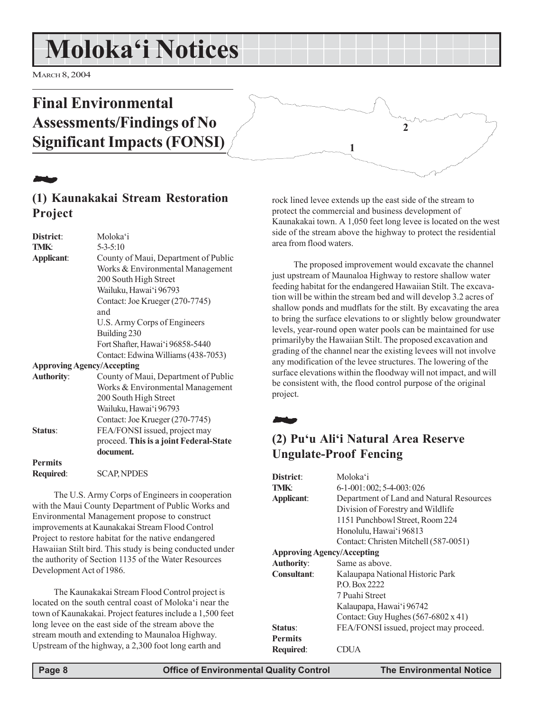## **Moloka'i Notices**

MARCH 8, 2004

## **Final Environmental Assessments/Findings of No Significant Impacts (FONSI)**



## **(1) Kaunakakai Stream Restoration Project**

| District:                         | Moloka'i                               |
|-----------------------------------|----------------------------------------|
| TMK:                              | $5 - 3 - 5:10$                         |
| Applicant:                        | County of Maui, Department of Public   |
|                                   | Works & Environmental Management       |
|                                   | 200 South High Street                  |
|                                   | Wailuku, Hawai'i 96793                 |
|                                   | Contact: Joe Krueger (270-7745)        |
|                                   | and                                    |
|                                   | U.S. Army Corps of Engineers           |
|                                   | Building 230                           |
|                                   | Fort Shafter, Hawai'i 96858-5440       |
|                                   | Contact: Edwina Williams (438-7053)    |
| <b>Approving Agency/Accepting</b> |                                        |
| <b>Authority:</b>                 | County of Maui, Department of Public   |
|                                   | Works & Environmental Management       |
|                                   | 200 South High Street                  |
|                                   | Wailuku, Hawai'i 96793                 |
|                                   | Contact: Joe Krueger (270-7745)        |
| Status:                           | FEA/FONSI issued, project may          |
|                                   | proceed. This is a joint Federal-State |
|                                   | document.                              |
| <b>Permits</b>                    |                                        |
| Required:                         | <b>SCAP, NPDES</b>                     |
|                                   |                                        |

The U.S. Army Corps of Engineers in cooperation with the Maui County Department of Public Works and Environmental Management propose to construct improvements at Kaunakakai Stream Flood Control Project to restore habitat for the native endangered Hawaiian Stilt bird. This study is being conducted under the authority of Section 1135 of the Water Resources Development Act of 1986.

The Kaunakakai Stream Flood Control project is located on the south central coast of Moloka'i near the town of Kaunakakai. Project features include a 1,500 feet long levee on the east side of the stream above the stream mouth and extending to Maunaloa Highway. Upstream of the highway, a 2,300 foot long earth and

rock lined levee extends up the east side of the stream to protect the commercial and business development of Kaunakakai town. A 1,050 feet long levee is located on the west side of the stream above the highway to protect the residential area from flood waters.

**2**

**1**

The proposed improvement would excavate the channel just upstream of Maunaloa Highway to restore shallow water feeding habitat for the endangered Hawaiian Stilt. The excavation will be within the stream bed and will develop 3.2 acres of shallow ponds and mudflats for the stilt. By excavating the area to bring the surface elevations to or slightly below groundwater levels, year-round open water pools can be maintained for use primarilyby the Hawaiian Stilt. The proposed excavation and grading of the channel near the existing levees will not involve any modification of the levee structures. The lowering of the surface elevations within the floodway will not impact, and will be consistent with, the flood control purpose of the original project.

22 J

## **(2) Pu'u Ali'i Natural Area Reserve Ungulate-Proof Fencing**

| District:                         | Moloka'i                                 |  |
|-----------------------------------|------------------------------------------|--|
| <b>TMK:</b>                       | $6-1-001:002; 5-4-003:026$               |  |
| Applicant:                        | Department of Land and Natural Resources |  |
|                                   | Division of Forestry and Wildlife        |  |
|                                   | 1151 Punchbowl Street, Room 224          |  |
|                                   | Honolulu, Hawai'i 96813                  |  |
|                                   | Contact: Christen Mitchell (587-0051)    |  |
| <b>Approving Agency/Accepting</b> |                                          |  |
| <b>Authority:</b>                 | Same as above.                           |  |
| Consultant:                       | Kalaupapa National Historic Park         |  |
|                                   | P.O. Box 2222                            |  |
|                                   | 7 Puahi Street                           |  |
|                                   | Kalaupapa, Hawai'i 96742                 |  |
|                                   | Contact: Guy Hughes (567-6802 x 41)      |  |
| Status:                           | FEA/FONSI issued, project may proceed.   |  |
| <b>Permits</b>                    |                                          |  |
| <b>Required:</b>                  |                                          |  |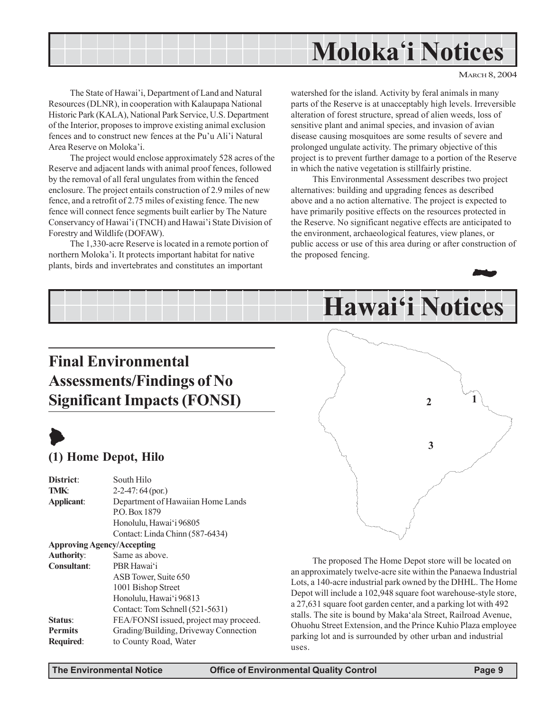

The State of Hawai'i, Department of Land and Natural Resources (DLNR), in cooperation with Kalaupapa National Historic Park (KALA), National Park Service, U.S. Department of the Interior, proposes to improve existing animal exclusion fences and to construct new fences at the Pu'u Ali'i Natural Area Reserve on Moloka'i.

The project would enclose approximately 528 acres of the Reserve and adjacent lands with animal proof fences, followed by the removal of all feral ungulates from within the fenced enclosure. The project entails construction of 2.9 miles of new fence, and a retrofit of 2.75 miles of existing fence. The new fence will connect fence segments built earlier by The Nature Conservancy of Hawai'i (TNCH) and Hawai'i State Division of Forestry and Wildlife (DOFAW).

The 1,330-acre Reserve is located in a remote portion of northern Moloka'i. It protects important habitat for native plants, birds and invertebrates and constitutes an important

watershed for the island. Activity by feral animals in many parts of the Reserve is at unacceptably high levels. Irreversible alteration of forest structure, spread of alien weeds, loss of sensitive plant and animal species, and invasion of avian disease causing mosquitoes are some results of severe and prolonged ungulate activity. The primary objective of this project is to prevent further damage to a portion of the Reserve in which the native vegetation is stillfairly pristine.

This Environmental Assessment describes two project alternatives: building and upgrading fences as described above and a no action alternative. The project is expected to have primarily positive effects on the resources protected in the Reserve. No significant negative effects are anticipated to the environment, archaeological features, view planes, or public access or use of this area during or after construction of the proposed fencing.



## **Final Environmental Assessments/Findings of No Significant Impacts (FONSI)**



## **(1) Home Depot, Hilo**

**District**: South Hilo **TMK:**  $2-2-47:64 \text{ (por.)}$ **Applicant**: Department of Hawaiian Home Lands P.O. Box 1879 Honolulu, Hawai'i 96805 Contact: Linda Chinn (587-6434) **Approving Agency/Accepting Authority**: Same as above. **Consultant**: PBR Hawai'i ASB Tower, Suite 650 1001 Bishop Street Honolulu, Hawai'i 96813 Contact: Tom Schnell (521-5631) **Status:** FEA/FONSI issued, project may proceed. **Permits** Grading/Building, Driveway Connection **Required**: to County Road, Water



The proposed The Home Depot store will be located on an approximately twelve-acre site within the Panaewa Industrial Lots, a 140-acre industrial park owned by the DHHL. The Home Depot will include a 102,948 square foot warehouse-style store, a 27,631 square foot garden center, and a parking lot with 492 stalls. The site is bound by Maka'ala Street, Railroad Avenue, Ohuohu Street Extension, and the Prince Kuhio Plaza employee parking lot and is surrounded by other urban and industrial uses.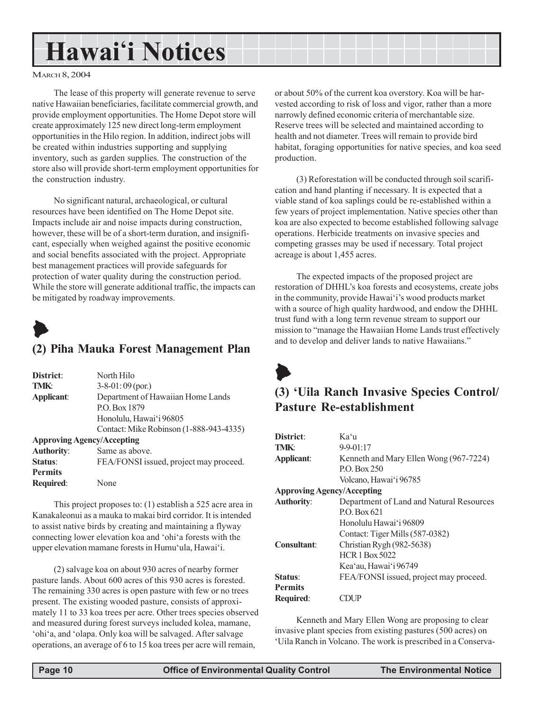## **Hawai'i Notices**

#### MARCH 8, 2004

The lease of this property will generate revenue to serve native Hawaiian beneficiaries, facilitate commercial growth, and provide employment opportunities. The Home Depot store will create approximately 125 new direct long-term employment opportunities in the Hilo region. In addition, indirect jobs will be created within industries supporting and supplying inventory, such as garden supplies. The construction of the store also will provide short-term employment opportunities for the construction industry.

No significant natural, archaeological, or cultural resources have been identified on The Home Depot site. Impacts include air and noise impacts during construction, however, these will be of a short-term duration, and insignificant, especially when weighed against the positive economic and social benefits associated with the project. Appropriate best management practices will provide safeguards for protection of water quality during the construction period. While the store will generate additional traffic, the impacts can be mitigated by roadway improvements.



### **(2) Piha Mauka Forest Management Plan**

| District:                         | North Hilo                              |
|-----------------------------------|-----------------------------------------|
| <b>TMK:</b>                       | $3-8-01:09$ (por.)                      |
| Applicant:                        | Department of Hawaiian Home Lands       |
|                                   | P.O. Box 1879                           |
|                                   | Honolulu, Hawai'i 96805                 |
|                                   | Contact: Mike Robinson (1-888-943-4335) |
| <b>Approving Agency/Accepting</b> |                                         |
| <b>Authority:</b>                 | Same as above.                          |
| Status:                           | FEA/FONSI issued, project may proceed.  |
| <b>Permits</b>                    |                                         |
| <b>Required:</b>                  | None                                    |

This project proposes to: (1) establish a 525 acre area in Kanakaleonui as a mauka to makai bird corridor. It is intended to assist native birds by creating and maintaining a flyway connecting lower elevation koa and 'ohi'a forests with the upper elevation mamane forests in Humu'ula, Hawai'i.

(2) salvage koa on about 930 acres of nearby former pasture lands. About 600 acres of this 930 acres is forested. The remaining 330 acres is open pasture with few or no trees present. The existing wooded pasture, consists of approximately 11 to 33 koa trees per acre. Other trees species observed and measured during forest surveys included kolea, mamane, 'ohi'a, and 'olapa. Only koa will be salvaged. After salvage operations, an average of 6 to 15 koa trees per acre will remain,

or about 50% of the current koa overstory. Koa will be harvested according to risk of loss and vigor, rather than a more narrowly defined economic criteria of merchantable size. Reserve trees will be selected and maintained according to health and not diameter. Trees will remain to provide bird habitat, foraging opportunities for native species, and koa seed production.

(3) Reforestation will be conducted through soil scarification and hand planting if necessary. It is expected that a viable stand of koa saplings could be re-established within a few years of project implementation. Native species other than koa are also expected to become established following salvage operations. Herbicide treatments on invasive species and competing grasses may be used if necessary. Total project acreage is about 1,455 acres.

The expected impacts of the proposed project are restoration of DHHL's koa forests and ecosystems, create jobs in the community, provide Hawai'i's wood products market with a source of high quality hardwood, and endow the DHHL trust fund with a long term revenue stream to support our mission to "manage the Hawaiian Home Lands trust effectively and to develop and deliver lands to native Hawaiians."



## **(3) 'Uila Ranch Invasive Species Control/ Pasture Re-establishment**

| District:                         | Kaʻu                                     |
|-----------------------------------|------------------------------------------|
| TMK+                              | $9 - 9 - 01 : 17$                        |
| Applicant:                        | Kenneth and Mary Ellen Wong (967-7224)   |
|                                   | P.O. Box 250                             |
|                                   | Volcano, Hawai'i 96785                   |
| <b>Approving Agency/Accepting</b> |                                          |
| <b>Authority:</b>                 | Department of Land and Natural Resources |
|                                   | PO Box 621                               |
|                                   | Honolulu Hawai'i 96809                   |
|                                   | Contact: Tiger Mills (587-0382)          |
| Consultant:                       | Christian Rygh (982-5638)                |
|                                   | <b>HCR 1 Box 5022</b>                    |
|                                   | Kea'au, Hawai'i 96749                    |
| Status:                           | FEA/FONSI issued, project may proceed.   |
| <b>Permits</b>                    |                                          |
| <b>Required:</b>                  |                                          |

Kenneth and Mary Ellen Wong are proposing to clear invasive plant species from existing pastures (500 acres) on 'Uila Ranch in Volcano. The work is prescribed in a Conserva-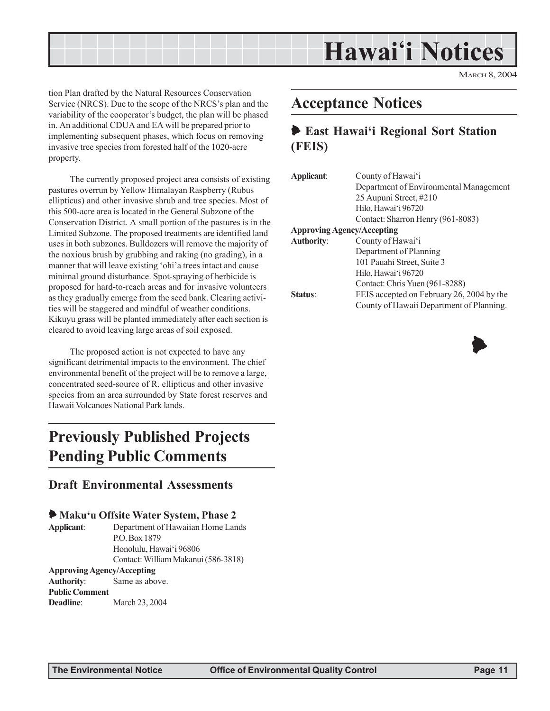

tion Plan drafted by the Natural Resources Conservation Service (NRCS). Due to the scope of the NRCS's plan and the variability of the cooperator's budget, the plan will be phased in. An additional CDUA and EA will be prepared prior to implementing subsequent phases, which focus on removing invasive tree species from forested half of the 1020-acre property.

The currently proposed project area consists of existing pastures overrun by Yellow Himalayan Raspberry (Rubus ellipticus) and other invasive shrub and tree species. Most of this 500-acre area is located in the General Subzone of the Conservation District. A small portion of the pastures is in the Limited Subzone. The proposed treatments are identified land uses in both subzones. Bulldozers will remove the majority of the noxious brush by grubbing and raking (no grading), in a manner that will leave existing 'ohi'a trees intact and cause minimal ground disturbance. Spot-spraying of herbicide is proposed for hard-to-reach areas and for invasive volunteers as they gradually emerge from the seed bank. Clearing activities will be staggered and mindful of weather conditions. Kikuyu grass will be planted immediately after each section is cleared to avoid leaving large areas of soil exposed.

The proposed action is not expected to have any significant detrimental impacts to the environment. The chief environmental benefit of the project will be to remove a large, concentrated seed-source of R. ellipticus and other invasive species from an area surrounded by State forest reserves and Hawaii Volcanoes National Park lands.

## **Previously Published Projects Pending Public Comments**

### **Draft Environmental Assessments**

### 6 **Maku'u Offsite Water System, Phase 2**

**Applicant**: Department of Hawaiian Home Lands P.O. Box 1879 Honolulu, Hawai'i 96806 Contact: William Makanui (586-3818)

#### **Approving Agency/Accepting**

**Authority**: Same as above. **Public Comment Deadline**: March 23, 2004

## **Acceptance Notices**

## 6 **East Hawai'i Regional Sort Station (FEIS)**

| Applicant:                        | County of Hawai'i                         |
|-----------------------------------|-------------------------------------------|
|                                   | Department of Environmental Management    |
|                                   | 25 Aupuni Street, #210                    |
|                                   | Hilo, Hawai'i 96720                       |
|                                   | Contact: Sharron Henry (961-8083)         |
| <b>Approving Agency/Accepting</b> |                                           |
| <b>Authority:</b>                 | County of Hawai'i                         |
|                                   | Department of Planning                    |
|                                   | 101 Pauahi Street, Suite 3                |
|                                   | Hilo, Hawai'i 96720                       |
|                                   | Contact: Chris Yuen (961-8288)            |
| Status:                           | FEIS accepted on February 26, 2004 by the |
|                                   | County of Hawaii Department of Planning.  |

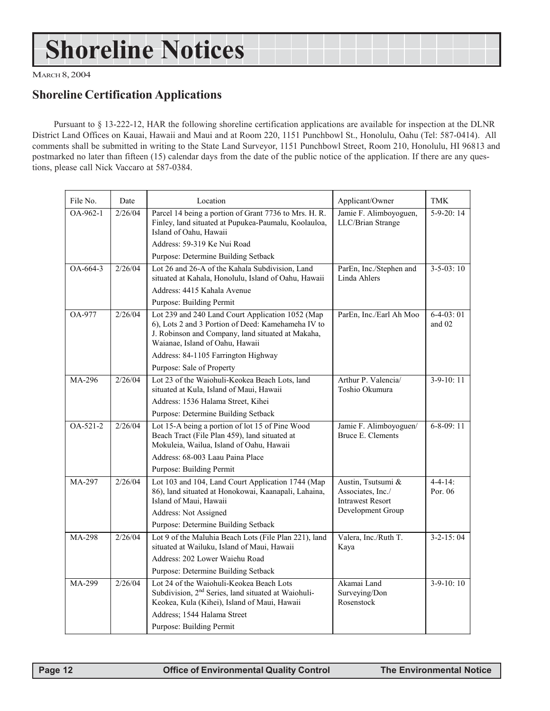## **Shoreline Notices**

MARCH 8, 2004

## **Shoreline Certification Applications**

Pursuant to § 13-222-12, HAR the following shoreline certification applications are available for inspection at the DLNR District Land Offices on Kauai, Hawaii and Maui and at Room 220, 1151 Punchbowl St., Honolulu, Oahu (Tel: 587-0414). All comments shall be submitted in writing to the State Land Surveyor, 1151 Punchbowl Street, Room 210, Honolulu, HI 96813 and postmarked no later than fifteen (15) calendar days from the date of the public notice of the application. If there are any questions, please call Nick Vaccaro at 587-0384.

| File No.                | Date    | Location                                                                                                                                                                                       | Applicant/Owner                                                    | <b>TMK</b>              |
|-------------------------|---------|------------------------------------------------------------------------------------------------------------------------------------------------------------------------------------------------|--------------------------------------------------------------------|-------------------------|
| OA-962-1                | 2/26/04 | Parcel 14 being a portion of Grant 7736 to Mrs. H. R.<br>Finley, land situated at Pupukea-Paumalu, Koolauloa,<br>Island of Oahu, Hawaii                                                        | Jamie F. Alimboyoguen,<br>LLC/Brian Strange                        | $5-9-20:14$             |
|                         |         | Address: 59-319 Ke Nui Road<br>Purpose: Determine Building Setback                                                                                                                             |                                                                    |                         |
| $OA-664-3$              | 2/26/04 | Lot 26 and 26-A of the Kahala Subdivision, Land                                                                                                                                                | ParEn, Inc./Stephen and                                            | $3-5-03:10$             |
|                         |         | situated at Kahala, Honolulu, Island of Oahu, Hawaii                                                                                                                                           | Linda Ahlers                                                       |                         |
|                         |         | Address: 4415 Kahala Avenue                                                                                                                                                                    |                                                                    |                         |
|                         |         | Purpose: Building Permit                                                                                                                                                                       |                                                                    |                         |
| OA-977                  | 2/26/04 | Lot 239 and 240 Land Court Application 1052 (Map<br>6), Lots 2 and 3 Portion of Deed: Kamehameha IV to<br>J. Robinson and Company, land situated at Makaha,<br>Waianae, Island of Oahu, Hawaii | ParEn, Inc./Earl Ah Moo                                            | $6-4-03:01$<br>and $02$ |
|                         |         | Address: 84-1105 Farrington Highway                                                                                                                                                            |                                                                    |                         |
|                         |         | Purpose: Sale of Property                                                                                                                                                                      |                                                                    |                         |
| MA-296                  | 2/26/04 | Lot 23 of the Waiohuli-Keokea Beach Lots, land<br>situated at Kula, Island of Maui, Hawaii                                                                                                     | Arthur P. Valencia/<br>Toshio Okumura                              | $3-9-10:11$             |
|                         |         | Address: 1536 Halama Street, Kihei                                                                                                                                                             |                                                                    |                         |
|                         |         | Purpose: Determine Building Setback                                                                                                                                                            |                                                                    |                         |
| $\overline{OA-521} - 2$ | 2/26/04 | Lot 15-A being a portion of lot 15 of Pine Wood<br>Beach Tract (File Plan 459), land situated at<br>Mokuleia, Wailua, Island of Oahu, Hawaii                                                   | Jamie F. Alimboyoguen/<br>Bruce E. Clements                        | $6 - 8 - 09$ : 11       |
|                         |         | Address: 68-003 Laau Paina Place                                                                                                                                                               |                                                                    |                         |
|                         |         | Purpose: Building Permit                                                                                                                                                                       |                                                                    |                         |
| MA-297                  | 2/26/04 | Lot 103 and 104, Land Court Application 1744 (Map<br>86), land situated at Honokowai, Kaanapali, Lahaina,<br>Island of Maui, Hawaii                                                            | Austin, Tsutsumi &<br>Associates, Inc./<br><b>Intrawest Resort</b> | $4 - 4 - 14$<br>Por. 06 |
|                         |         | Address: Not Assigned                                                                                                                                                                          | Development Group                                                  |                         |
|                         |         | Purpose: Determine Building Setback                                                                                                                                                            |                                                                    |                         |
| MA-298                  | 2/26/04 | Lot 9 of the Maluhia Beach Lots (File Plan 221), land<br>situated at Wailuku, Island of Maui, Hawaii                                                                                           | Valera, Inc./Ruth T.<br>Kaya                                       | $3 - 2 - 15:04$         |
|                         |         | Address: 202 Lower Waiehu Road                                                                                                                                                                 |                                                                    |                         |
|                         |         | Purpose: Determine Building Setback                                                                                                                                                            |                                                                    |                         |
| MA-299                  | 2/26/04 | Lot 24 of the Waiohuli-Keokea Beach Lots<br>Subdivision, 2 <sup>nd</sup> Series, land situated at Waiohuli-<br>Keokea, Kula (Kihei), Island of Maui, Hawaii                                    | Akamai Land<br>Surveying/Don<br>Rosenstock                         | $3-9-10:10$             |
|                         |         | Address; 1544 Halama Street                                                                                                                                                                    |                                                                    |                         |
|                         |         | Purpose: Building Permit                                                                                                                                                                       |                                                                    |                         |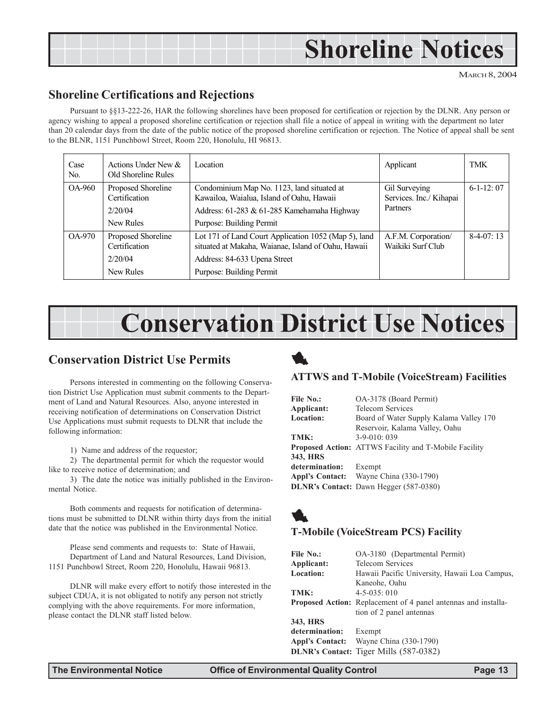## **Shoreline Notices**

MARCH 8, 2004

## **Shoreline Certifications and Rejections**

Pursuant to §§13-222-26, HAR the following shorelines have been proposed for certification or rejection by the DLNR. Any person or agency wishing to appeal a proposed shoreline certification or rejection shall file a notice of appeal in writing with the department no later than 20 calendar days from the date of the public notice of the proposed shoreline certification or rejection. The Notice of appeal shall be sent to the BLNR, 1151 Punchbowl Street, Room 220, Honolulu, HI 96813.

| Case<br>No. | Actions Under New $\&$<br>Old Shoreline Rules               | Location                                                                                                                                                                | Applicant                                            | TMK         |
|-------------|-------------------------------------------------------------|-------------------------------------------------------------------------------------------------------------------------------------------------------------------------|------------------------------------------------------|-------------|
| OA-960      | Proposed Shoreline<br>Certification<br>2/20/04<br>New Rules | Condominium Map No. 1123, land situated at<br>Kawailoa, Waialua, Island of Oahu, Hawaii<br>Address: 61-283 & 61-285 Kamehamaha Highway<br>Purpose: Building Permit      | Gil Surveying<br>Services. Inc./ Kihapai<br>Partners | $6-1-12:07$ |
| OA-970      | Proposed Shoreline<br>Certification<br>2/20/04<br>New Rules | Lot 171 of Land Court Application 1052 (Map 5), land<br>situated at Makaha, Waianae, Island of Oahu, Hawaii<br>Address: 84-633 Upena Street<br>Purpose: Building Permit | A.F.M. Corporation/<br>Waikiki Surf Club             | $8-4-07:13$ |

## **Conservation District Use Notices**

## **Conservation District Use Permits**

Persons interested in commenting on the following Conservation District Use Application must submit comments to the Department of Land and Natural Resources. Also, anyone interested in receiving notification of determinations on Conservation District Use Applications must submit requests to DLNR that include the following information:

1) Name and address of the requestor;

2) The departmental permit for which the requestor would like to receive notice of determination; and

3) The date the notice was initially published in the Environmental Notice.

Both comments and requests for notification of determinations must be submitted to DLNR within thirty days from the initial date that the notice was published in the Environmental Notice.

Please send comments and requests to: State of Hawaii, Department of Land and Natural Resources, Land Division, 1151 Punchbowl Street, Room 220, Honolulu, Hawaii 96813.

DLNR will make every effort to notify those interested in the subject CDUA, it is not obligated to notify any person not strictly complying with the above requirements. For more information, please contact the DLNR staff listed below.

## 1

### **ATTWS and T-Mobile (VoiceStream) Facilities**

| File No.:             | OA-3178 (Board Permit)                                       |
|-----------------------|--------------------------------------------------------------|
| Applicant:            | <b>Telecom Services</b>                                      |
| <b>Location:</b>      | Board of Water Supply Kalama Valley 170                      |
|                       | Reservoir, Kalama Valley, Oahu                               |
| TMK:                  | $3-9-010:039$                                                |
|                       | <b>Proposed Action:</b> ATTWS Facility and T-Mobile Facility |
| 343, HRS              |                                                              |
| determination: Exempt |                                                              |
|                       | Appl's Contact: Wayne China (330-1790)                       |
|                       | <b>DLNR's Contact:</b> Dawn Hegger (587-0380)                |



## **T-Mobile (VoiceStream PCS) Facility**

| <b>File No.:</b> | OA-3180 (Departmental Permit)                                         |
|------------------|-----------------------------------------------------------------------|
|                  |                                                                       |
| Applicant:       | <b>Telecom Services</b>                                               |
| <b>Location:</b> | Hawaii Pacific University, Hawaii Loa Campus,                         |
|                  | Kaneohe, Oahu                                                         |
| TMK:             | $4 - 5 - 035$ ; 010                                                   |
|                  | <b>Proposed Action:</b> Replacement of 4 panel antennas and installa- |
|                  | tion of 2 panel antennas                                              |
| 343, HRS         |                                                                       |
| determination:   | Exempt                                                                |
| Appl's Contact:  | Wayne China (330-1790)                                                |
|                  | <b>DLNR's Contact:</b> Tiger Mills (587-0382)                         |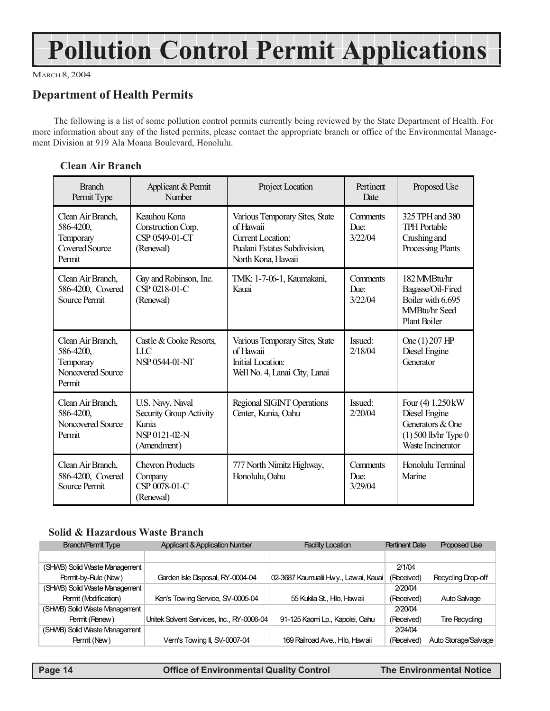## **Pollution Control Permit Applications**

MARCH 8, 2004

## **Department of Health Permits**

The following is a list of some pollution control permits currently being reviewed by the State Department of Health. For more information about any of the listed permits, please contact the appropriate branch or office of the Environmental Management Division at 919 Ala Moana Boulevard, Honolulu.

### **Clean Air Branch**

| <b>Branch</b><br>Permit Type                                                   | Applicant & Permit<br>Number                                                         | Project Location                                                                                                             | Pertinent<br>Date           | Proposed Use                                                                                          |
|--------------------------------------------------------------------------------|--------------------------------------------------------------------------------------|------------------------------------------------------------------------------------------------------------------------------|-----------------------------|-------------------------------------------------------------------------------------------------------|
| Clean Air Branch,<br>586-4200,<br>Temporary<br><b>Covered Source</b><br>Permit | Keauhou Kona<br>Construction Corp.<br>CSP 0549-01-CT<br>(Renewal)                    | Various Temporary Sites, State<br>of Hawaii<br><b>Current Location:</b><br>Pualani Estates Subdivision<br>North Kona, Hawaii | Comments<br>Due:<br>3/22/04 | 325 TPH and 380<br><b>TPH Portable</b><br>Crushing and<br>Processing Plants                           |
| Clean Air Branch,<br>586-4200, Covered<br>Source Permit                        | Gay and Robinson, Inc.<br>CSP 0218-01-C<br>(Renewal)                                 | TMK: 1-7-06-1, Kaumakani,<br>Kauai                                                                                           | Comments<br>Due:<br>3/22/04 | 182 MMBtu/hr<br>Bagasse/Oil-Fired<br>Boiler with 6.695<br>MMBtu/hr Seed<br>Plant Boiler               |
| Clean Air Branch,<br>586-4200,<br>Temporary<br>Noncovered Source<br>Permit     | Castle & Cooke Resorts,<br>LLC<br>NSP 0544-01-NT                                     | Various Temporary Sites, State<br>of Hawaii<br>Initial Location:<br>Well No. 4, Lanai City, Lanai                            | Issued:<br>2/18/04          | One (1) 207 HP<br>Diesel Engine<br>Generator                                                          |
| Clean Air Branch,<br>586-4200,<br>Noncovered Source<br>Permit                  | U.S. Navy, Naval<br>Security Group Activity<br>Kunia<br>NSP 0121-02-N<br>(Amendment) | Regional SIGINT Operations<br>Center, Kunia, Oahu                                                                            | Issued:<br>2/20/04          | Four (4) 1,250 kW<br>Diesel Engine<br>Generators & One<br>$(1)$ 500 lb/hr Type 0<br>Waste Incinerator |
| Clean Air Branch,<br>586-4200, Covered<br>Source Permit                        | <b>Chevron Products</b><br>Company<br>CSP 0078-01-C<br>(Renewal)                     | 777 North Nimitz Highway,<br>Honolulu, Oahu                                                                                  | Comments<br>Due:<br>3/29/04 | Honolulu Terminal<br>Marine                                                                           |

### **Solid & Hazardous Waste Branch**

| <b>Branch/Permit Type</b>     | <b>Applicant &amp; Application Number</b> | <b>Facility Location</b>             | <b>Pertinent Date</b> | <b>Proposed Use</b>   |
|-------------------------------|-------------------------------------------|--------------------------------------|-----------------------|-----------------------|
|                               |                                           |                                      |                       |                       |
| (SHWB) Solid Waste Management |                                           |                                      | 2/1/04                |                       |
| Permit-by-Rule (New)          | Garden Isle Disposal, RY-0004-04          | 02-3687 Kaumualii Hwy., Lawai, Kauai | (Received)            | Recycling Drop-off    |
| (SHWB) Solid Waste Management |                                           |                                      | 2/20/04               |                       |
| Permit (Modification)         | Ken's Towing Service, SV-0005-04          | 55 Kukila St., Hilo, Hawaii          | (Received)            | Auto Salvage          |
| (SHMB) Solid Waste Management |                                           |                                      | 2/20/04               |                       |
| Permit (Renew)                | Unitek Solvent Services, Inc., RY-0006-04 | 91-125 Kaomi Lp., Kapolei, Oahu      | (Received)            | <b>Tire Recycling</b> |
| (SHWB) Solid Waste Management |                                           |                                      | 2/24/04               |                       |
| Permit (New)                  | Vern's Towing II, SV-0007-04              | 169 Railroad Ave., Hilo, Hawaii      | (Received)            | Auto Storage/Salvage  |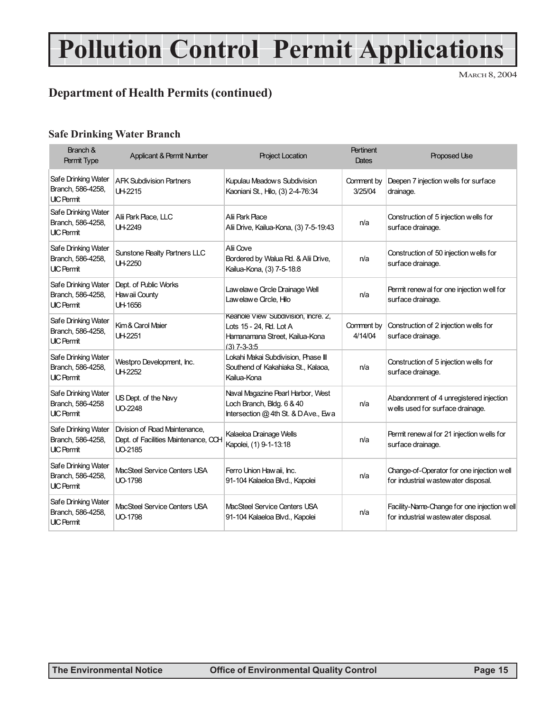## **Pollution Control Permit Applications**

MARCH 8, 2004

## **Department of Health Permits (continued)**

### **Safe Drinking Water Branch**

| Branch &<br>Permit Type                                       | <b>Applicant &amp; Permit Number</b>                                             | <b>Project Location</b>                                                                                           | <b>Pertinent</b><br>Dates | <b>Proposed Use</b>                                                                |
|---------------------------------------------------------------|----------------------------------------------------------------------------------|-------------------------------------------------------------------------------------------------------------------|---------------------------|------------------------------------------------------------------------------------|
| Safe Drinking Water<br>Branch, 586-4258,<br><b>UIC Permit</b> | <b>AFK Subdivision Partners</b><br>UH-2215                                       | Kupulau Meadows Subdivision<br>Kaoniani St., Hilo, (3) 2-4-76:34                                                  | Comment by<br>3/25/04     | Deepen 7 injection wells for surface<br>drainage.                                  |
| Safe Drinking Water<br>Branch, 586-4258,<br><b>UIC Permit</b> | Alii Park Place, LLC<br>UH-2249                                                  | Alii Park Place<br>Alii Drive, Kailua-Kona, (3) 7-5-19:43                                                         | n/a                       | Construction of 5 injection wells for<br>surface drainage.                         |
| Safe Drinking Water<br>Branch, 586-4258,<br><b>UIC Permit</b> | Sunstone Realty Partners LLC<br>UH-2250                                          | Alii Cove<br>Bordered by Walua Rd. & Alii Drive,<br>Kailua-Kona, (3) 7-5-18:8                                     | n/a                       | Construction of 50 injection wells for<br>surface drainage.                        |
| Safe Drinking Water<br>Branch, 586-4258,<br><b>UIC Permit</b> | Dept. of Public Works<br>Haw aii County<br>UH-1656                               | Law elaw e Circle Drainage Well<br>Law elaw e Circle, Hilo                                                        | n/a                       | Permit renew al for one injection well for<br>surface drainage.                    |
| Safe Drinking Water<br>Branch, 586-4258,<br><b>UIC Permit</b> | Kim & Carol Maier<br>UH-2251                                                     | Keahole View Subdivision, Incre. 2,<br>Lots 15 - 24, Rd. Lot A<br>Hamanamana Street, Kailua-Kona<br>$(3)$ 7-3-3:5 | Comment by<br>4/14/04     | Construction of 2 injection wells for<br>surface drainage.                         |
| Safe Drinking Water<br>Branch, 586-4258,<br><b>UIC Permit</b> | Westpro Development, Inc.<br>UH-2252                                             | Lokahi Makai Subdivision, Phase III<br>Southend of Kakahiaka St., Kalaoa,<br>Kailua-Kona                          | n/a                       | Construction of 5 injection wells for<br>surface drainage.                         |
| Safe Drinking Water<br>Branch, 586-4258<br><b>UIC Permit</b>  | US Dept. of the Navy<br>UO-2248                                                  | Naval Magazine Pearl Harbor, West<br>Loch Branch, Bldg. 6 & 40<br>Intersection @ 4th St. & D Ave., Ew a           | n/a                       | Abandonment of 4 unregistered injection<br>wells used for surface drainage.        |
| Safe Drinking Water<br>Branch, 586-4258,<br><b>UIC Permit</b> | Division of Road Maintenance.<br>Dept. of Facilities Maintenance, CCH<br>UO-2185 | Kalaeloa Drainage Wells<br>Kapolei, (1) 9-1-13:18                                                                 | n/a                       | Permit renew al for 21 injection wells for<br>surface drainage.                    |
| Safe Drinking Water<br>Branch, 586-4258,<br><b>UIC Permit</b> | MacSteel Service Centers USA<br>UO-1798                                          | Ferro Union Hawaii, Inc.<br>91-104 Kalaeloa Blvd., Kapolei                                                        | n/a                       | Change-of-Operator for one injection well<br>for industrial wastewater disposal.   |
| Safe Drinking Water<br>Branch, 586-4258,<br><b>UIC Permit</b> | MacSteel Service Centers USA<br>UO-1798                                          | MacSteel Service Centers USA<br>91-104 Kalaeloa Blvd., Kapolei                                                    | n/a                       | Facility-Name-Change for one injection well<br>for industrial wastewater disposal. |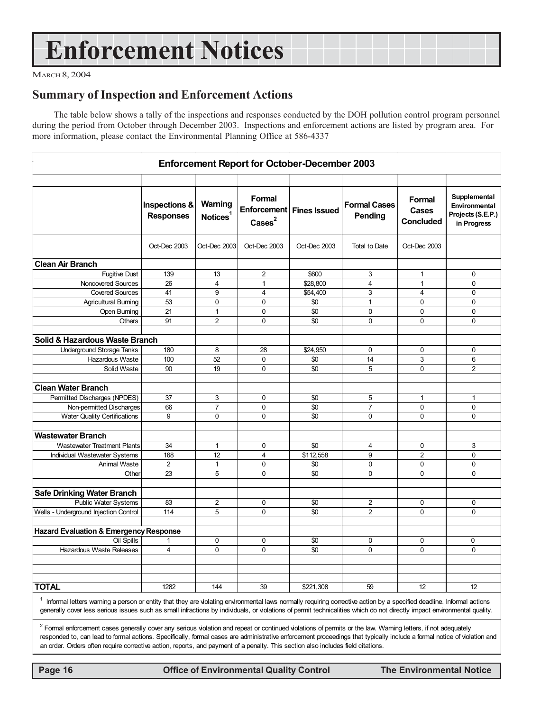## **Enforcement Notices**

MARCH 8, 2004

## **Summary of Inspection and Enforcement Actions**

The table below shows a tally of the inspections and responses conducted by the DOH pollution control program personnel during the period from October through December 2003. Inspections and enforcement actions are listed by program area. For more information, please contact the Environmental Planning Office at 586-4337

| <b>Enforcement Report for October-December 2003</b> |                                   |                                 |                           |                            |                                       |                                     |                                                                   |
|-----------------------------------------------------|-----------------------------------|---------------------------------|---------------------------|----------------------------|---------------------------------------|-------------------------------------|-------------------------------------------------------------------|
|                                                     |                                   |                                 |                           |                            |                                       |                                     |                                                                   |
|                                                     | Inspections &<br><b>Responses</b> | Warning<br>Notices <sup>1</sup> | Formal<br>$\text{Case}^2$ | Enforcement   Fines Issued | <b>Formal Cases</b><br><b>Pending</b> | Formal<br>Cases<br><b>Concluded</b> | Supplemental<br>Environmental<br>Projects (S.E.P.)<br>in Progress |
|                                                     | Oct-Dec 2003                      | Oct-Dec 2003                    | Oct-Dec 2003              | Oct-Dec 2003               | <b>Total to Date</b>                  | Oct-Dec 2003                        |                                                                   |
| <b>Clean Air Branch</b>                             |                                   |                                 |                           |                            |                                       |                                     |                                                                   |
| <b>Fugitive Dust</b>                                | 139                               | 13                              | $\overline{c}$            | \$600                      | 3                                     | $\mathbf{1}$                        | $\mathbf 0$                                                       |
| Noncovered Sources                                  | 26                                | $\overline{4}$                  | $\mathbf{1}$              | \$28,800                   | 4                                     | $\mathbf{1}$                        | 0                                                                 |
| <b>Covered Sources</b>                              | 41                                | 9                               | $\overline{4}$            | \$54,400                   | 3                                     | $\overline{4}$                      | $\mathbf 0$                                                       |
| <b>Agricultural Burning</b>                         | 53                                | $\mathbf 0$                     | 0                         | \$0                        | $\mathbf{1}$                          | 0                                   | $\mathbf 0$                                                       |
| Open Burning                                        | 21                                | $\mathbf{1}$                    | 0                         | \$0                        | $\mathbf 0$                           | $\mathbf 0$                         | 0                                                                 |
| Others                                              | 91                                | $\overline{2}$                  | $\mathbf 0$               | \$0                        | 0                                     | 0                                   | $\mathbf 0$                                                       |
|                                                     |                                   |                                 |                           |                            |                                       |                                     |                                                                   |
| Solid & Hazardous Waste Branch                      |                                   |                                 |                           |                            |                                       |                                     |                                                                   |
| <b>Underground Storage Tanks</b>                    | 180                               | 8                               | 28                        | \$24.950                   | $\Omega$                              | 0                                   | 0                                                                 |
| Hazardous Waste                                     | 100                               | 52                              | 0                         | \$0                        | 14                                    | 3                                   | 6                                                                 |
| Solid Waste                                         | 90                                | 19                              | $\mathbf 0$               | \$0                        | 5                                     | 0                                   | $\overline{2}$                                                    |
| <b>Clean Water Branch</b>                           |                                   |                                 |                           |                            |                                       |                                     |                                                                   |
| Permitted Discharges (NPDES)                        | 37                                | 3                               | 0                         | \$0                        | 5                                     | $\mathbf{1}$                        | $\mathbf{1}$                                                      |
| Non-permitted Discharges                            | 66                                | $\overline{7}$                  | 0                         | \$0                        | 7                                     | 0                                   | 0                                                                 |
| <b>Water Quality Certifications</b>                 | $\overline{9}$                    | $\Omega$                        | $\overline{0}$            | \$0                        | 0                                     | $\mathbf 0$                         | $\mathbf 0$                                                       |
|                                                     |                                   |                                 |                           |                            |                                       |                                     |                                                                   |
| <b>Wastewater Branch</b>                            |                                   |                                 |                           |                            |                                       |                                     |                                                                   |
| <b>Wastewater Treatment Plants</b>                  | 34                                | $\mathbf{1}$                    | $\Omega$                  | \$0                        | 4                                     | $\Omega$                            | 3                                                                 |
| Individual Wastewater Systems                       | 168                               | 12                              | $\overline{4}$            | \$112,558                  | 9                                     | $\overline{2}$                      | 0                                                                 |
| Animal Waste                                        | $\overline{2}$                    | $\mathbf{1}$                    | $\mathbf 0$               | \$0                        | 0                                     | $\mathbf 0$                         | $\pmb{0}$                                                         |
| Other                                               | 23                                | 5                               | $\Omega$                  | \$0                        | 0                                     | $\mathbf 0$                         | $\mathbf 0$                                                       |
|                                                     |                                   |                                 |                           |                            |                                       |                                     |                                                                   |
| <b>Safe Drinking Water Branch</b>                   |                                   |                                 |                           |                            |                                       |                                     |                                                                   |
| <b>Public Water Systems</b>                         | 83                                | $\sqrt{2}$                      | 0                         | \$0                        | 2                                     | 0                                   | 0                                                                 |
| Wells - Underground Injection Control               | 114                               | 5                               | $\mathbf 0$               | \$0                        | $\overline{2}$                        | $\mathbf 0$                         | 0                                                                 |
|                                                     |                                   |                                 |                           |                            |                                       |                                     |                                                                   |
| <b>Hazard Evaluation &amp; Emergency Response</b>   |                                   |                                 |                           |                            |                                       |                                     |                                                                   |
| Oil Spills                                          | 1                                 | $\Omega$                        | 0                         | \$0                        | $\mathbf 0$                           | 0                                   | $\Omega$                                                          |
| <b>Hazardous Waste Releases</b>                     | $\overline{4}$                    | $\Omega$                        | $\mathbf 0$               | \$0                        | $\Omega$                              | $\Omega$                            | $\mathbf{0}$                                                      |
|                                                     |                                   |                                 |                           |                            |                                       |                                     |                                                                   |
|                                                     |                                   |                                 |                           |                            |                                       |                                     |                                                                   |
|                                                     |                                   |                                 |                           |                            |                                       |                                     |                                                                   |
| <b>TOTAL</b>                                        | 1282                              | 144                             | 39                        | \$221,308                  | 59                                    | 12                                  | 12                                                                |

<sup>1</sup> Informal letters warning a person or entity that they are violating environmental laws normally requiring corrective action by a specified deadline. Informal actions generally cover less serious issues such as small infractions by individuals, or violations of permit technicalities which do not directly impact environmental quality.

<sup>2</sup> Formal enforcement cases generally cover any serious violation and repeat or continued violations of permits or the law. Warning letters, if not adequately responded to, can lead to formal actions. Specifically, formal cases are administrative enforcement proceedings that typically include a formal notice of violation and an order. Orders often require corrective action, reports, and payment of a penalty. This section also includes field citations.

 **Page 16 Control Control Control Control Page 16 Control Control Control Control Control Page 16 Control Page 16 Control Page 16 Control Page 16 Control Page 16 Control Page 16 Control Page 16 Control Page 16 Control Page**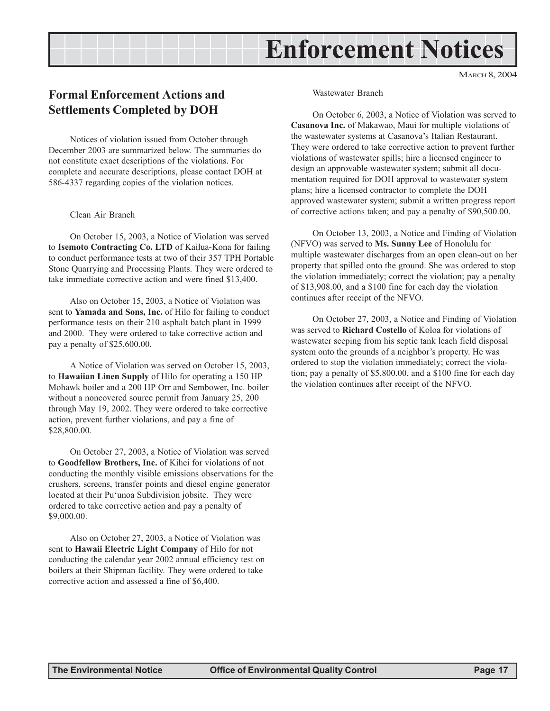## **Enforcement Notices**

MARCH 8, 2004

## **Formal Enforcement Actions and Settlements Completed by DOH**

Notices of violation issued from October through December 2003 are summarized below. The summaries do not constitute exact descriptions of the violations. For complete and accurate descriptions, please contact DOH at 586-4337 regarding copies of the violation notices.

#### Clean Air Branch

On October 15, 2003, a Notice of Violation was served to **Isemoto Contracting Co. LTD** of Kailua-Kona for failing to conduct performance tests at two of their 357 TPH Portable Stone Quarrying and Processing Plants. They were ordered to take immediate corrective action and were fined \$13,400.

Also on October 15, 2003, a Notice of Violation was sent to **Yamada and Sons, Inc.** of Hilo for failing to conduct performance tests on their 210 asphalt batch plant in 1999 and 2000. They were ordered to take corrective action and pay a penalty of \$25,600.00.

A Notice of Violation was served on October 15, 2003, to **Hawaiian Linen Supply** of Hilo for operating a 150 HP Mohawk boiler and a 200 HP Orr and Sembower, Inc. boiler without a noncovered source permit from January 25, 200 through May 19, 2002. They were ordered to take corrective action, prevent further violations, and pay a fine of \$28,800.00.

On October 27, 2003, a Notice of Violation was served to **Goodfellow Brothers, Inc.** of Kihei for violations of not conducting the monthly visible emissions observations for the crushers, screens, transfer points and diesel engine generator located at their Pu'unoa Subdivision jobsite. They were ordered to take corrective action and pay a penalty of \$9,000.00.

Also on October 27, 2003, a Notice of Violation was sent to **Hawaii Electric Light Company** of Hilo for not conducting the calendar year 2002 annual efficiency test on boilers at their Shipman facility. They were ordered to take corrective action and assessed a fine of \$6,400.

Wastewater Branch

On October 6, 2003, a Notice of Violation was served to **Casanova Inc.** of Makawao, Maui for multiple violations of the wastewater systems at Casanova's Italian Restaurant. They were ordered to take corrective action to prevent further violations of wastewater spills; hire a licensed engineer to design an approvable wastewater system; submit all documentation required for DOH approval to wastewater system plans; hire a licensed contractor to complete the DOH approved wastewater system; submit a written progress report of corrective actions taken; and pay a penalty of \$90,500.00.

On October 13, 2003, a Notice and Finding of Violation (NFVO) was served to **Ms. Sunny Lee** of Honolulu for multiple wastewater discharges from an open clean-out on her property that spilled onto the ground. She was ordered to stop the violation immediately; correct the violation; pay a penalty of \$13,908.00, and a \$100 fine for each day the violation continues after receipt of the NFVO.

On October 27, 2003, a Notice and Finding of Violation was served to **Richard Costello** of Koloa for violations of wastewater seeping from his septic tank leach field disposal system onto the grounds of a neighbor's property. He was ordered to stop the violation immediately; correct the violation; pay a penalty of \$5,800.00, and a \$100 fine for each day the violation continues after receipt of the NFVO.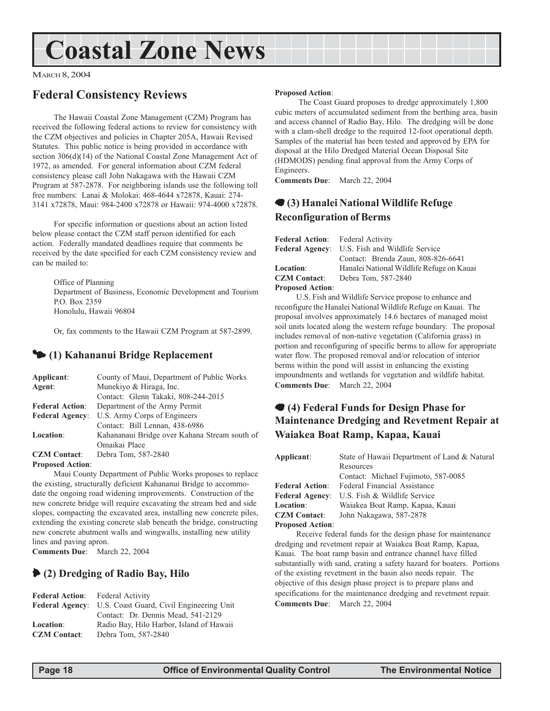## **Coastal Zone News**

MARCH 8, 2004

## **Federal Consistency Reviews**

The Hawaii Coastal Zone Management (CZM) Program has received the following federal actions to review for consistency with the CZM objectives and policies in Chapter 205A, Hawaii Revised Statutes. This public notice is being provided in accordance with section 306(d)(14) of the National Coastal Zone Management Act of 1972, as amended. For general information about CZM federal consistency please call John Nakagawa with the Hawaii CZM Program at 587-2878. For neighboring islands use the following toll free numbers: Lanai & Molokai: 468-4644 x72878, Kauai: 274- 3141 x72878, Maui: 984-2400 x72878 or Hawaii: 974-4000 x72878.

For specific information or questions about an action listed below please contact the CZM staff person identified for each action. Federally mandated deadlines require that comments be received by the date specified for each CZM consistency review and can be mailed to:

Office of Planning Department of Business, Economic Development and Tourism P.O. Box 2359 Honolulu, Hawaii 96804

Or, fax comments to the Hawaii CZM Program at 587-2899.

### 3 **(1) Kahananui Bridge Replacement**

| Applicant:             | County of Maui, Department of Public Works    |
|------------------------|-----------------------------------------------|
| Agent:                 | Munekiyo & Hiraga, Inc.                       |
|                        | Contact: Glenn Takaki, 808-244-2015           |
| <b>Federal Action:</b> | Department of the Army Permit                 |
| <b>Federal Agency:</b> | U.S. Army Corps of Engineers                  |
|                        | Contact: Bill Lennan, 438-6986                |
| Location:              | Kahananaui Bridge over Kahana Stream south of |
|                        | Omaikai Place                                 |
| <b>CZM</b> Contact:    | Debra Tom, 587-2840                           |
| Proposed Action:       |                                               |

**Proposed Action**:

Maui County Department of Public Works proposes to replace the existing, structurally deficient Kahananui Bridge to accommodate the ongoing road widening improvements. Construction of the new concrete bridge will require excavating the stream bed and side slopes, compacting the excavated area, installing new concrete piles, extending the existing concrete slab beneath the bridge, constructing new concrete abutment walls and wingwalls, installing new utility lines and paving apron.

**Comments Due**: March 22, 2004

### 6 **(2) Dredging of Radio Bay, Hilo**

| <b>Federal Action:</b> Federal Activity |                                          |
|-----------------------------------------|------------------------------------------|
| <b>Federal Agency:</b>                  | U.S. Coast Guard, Civil Engineering Unit |
|                                         | Contact: Dr. Dennis Mead, 541-2129       |
| Location:                               | Radio Bay, Hilo Harbor, Island of Hawaii |
| <b>CZM</b> Contact:                     | Debra Tom. 587-2840                      |

#### **Proposed Action**:

 The Coast Guard proposes to dredge approximately 1,800 cubic meters of accumulated sediment from the berthing area, basin and access channel of Radio Bay, Hilo. The dredging will be done with a clam-shell dredge to the required 12-foot operational depth. Samples of the material has been tested and approved by EPA for disposal at the Hilo Dredged Material Ocean Disposal Site (HDMODS) pending final approval from the Army Corps of Engineers.

**Comments Due**: March 22, 2004

## 7 **(3) Hanalei National Wildlife Refuge Reconfiguration of Berms**

| <b>Federal Action:</b> Federal Activity |                                                       |
|-----------------------------------------|-------------------------------------------------------|
|                                         | <b>Federal Agency:</b> U.S. Fish and Wildlife Service |
|                                         | Contact: Brenda Zaun, 808-826-6641                    |
| <b>Location</b> :                       | Hanalei National Wildlife Refuge on Kauai             |
| <b>CZM Contact:</b>                     | Debra Tom, 587-2840                                   |
| <b>Proposed Action:</b>                 |                                                       |

U.S. Fish and Wildlife Service propose to enhance and reconfigure the Hanalei National Wildlife Refuge on Kauai. The proposal involves approximately 14.6 hectares of managed moist soil units located along the western refuge boundary. The proposal includes removal of non-native vegetation (California grass) in portion and reconfiguring of specific berms to allow for appropriate water flow. The proposed removal and/or relocation of interior berms within the pond will assist in enhancing the existing impoundments and wetlands for vegetation and wildlife habitat. **Comments Due**: March 22, 2004

## 7 **(4) Federal Funds for Design Phase for Maintenance Dredging and Revetment Repair at Waiakea Boat Ramp, Kapaa, Kauai**

| Applicant:              | State of Hawaii Department of Land & Natural |  |
|-------------------------|----------------------------------------------|--|
|                         | Resources                                    |  |
|                         | Contact: Michael Fujimoto, 587-0085          |  |
| <b>Federal Action:</b>  | Federal Financial Assistance                 |  |
| <b>Federal Agency:</b>  | U.S. Fish & Wildlife Service                 |  |
| Location:               | Waiakea Boat Ramp, Kapaa, Kauai              |  |
| <b>CZM</b> Contact:     | John Nakagawa, 587-2878                      |  |
| <b>Proposed Action:</b> |                                              |  |

Receive federal funds for the design phase for maintenance dredging and revetment repair at Waiakea Boat Ramp, Kapaa, Kauai. The boat ramp basin and entrance channel have filled substantially with sand, crating a safety hazard for boaters. Portions of the existing revetment in the basin also needs repair. The objective of this design phase project is to prepare plans and specifications for the maintenance dredging and revetment repair. **Comments Due**: March 22, 2004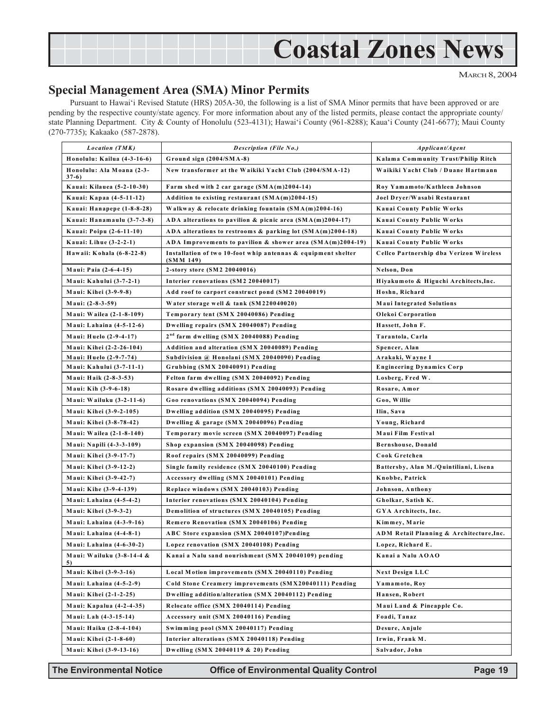## **Coastal Zones News**

MARCH 8, 2004

## **Special Management Area (SMA) Minor Permits**

Pursuant to Hawai'i Revised Statute (HRS) 205A-30, the following is a list of SMA Minor permits that have been approved or are pending by the respective county/state agency. For more information about any of the listed permits, please contact the appropriate county/ state Planning Department. City & County of Honolulu (523-4131); Hawai'i County (961-8288); Kaua'i County (241-6677); Maui County (270-7735); Kakaako (587-2878).

| <i>Location</i> (TMK)                | <b>Description (File No.)</b>                                              | Applicant/Agent                          |
|--------------------------------------|----------------------------------------------------------------------------|------------------------------------------|
| Honolulu: Kailua (4-3-16-6)          | Ground sign (2004/SMA-8)                                                   | Kalama Community Trust/Philip Ritch      |
| Honolulu: Ala Moana (2-3-<br>$37-6)$ | New transformer at the Waikiki Yacht Club (2004/SMA-12)                    | Waikiki Yacht Club / Duane Hartmann      |
| Kauai: Kilauea (5-2-10-30)           | Farm shed with 2 car garage $(SMA(m)2004-14)$                              | Roy Yamamoto/Kathleen Johnson            |
| Kauai: Kapaa (4-5-11-12)             | Addition to existing restaurant $(SMA(m)2004-15)$                          | Joel Dryer/Wasabi Restaurant             |
| Kauai: Hanapepe (1-8-8-28)           | Walkway & relocate drinking fountain (SMA(m)2004-16)                       | Kauai County Public Works                |
| Kauai: Hanamaulu (3-7-3-8)           | ADA alterations to pavilion & picnic area $(SMA(m)2004-17)$                | Kauai County Public Works                |
| Kauai: Poipu (2-6-11-10)             | ADA alterations to restrooms & parking lot $(SMA(m)2004-18)$               | Kauai County Public Works                |
| Kauai: Lihue (3-2-2-1)               | ADA Improvements to pavilion & shower area $(SMA(m)2004-19)$               | Kauai County Public Works                |
| Hawaii: Kohala (6-8-22-8)            | Installation of two 10-foot whip antennas & equipment shelter<br>(SMM 149) | Cellco Partnership dba Verizon Wireless  |
| Maui: Paia (2-6-4-15)                | 2-story store (SM2 20040016)                                               | Nelson, Don                              |
| Maui: Kahului (3-7-2-1)              | Interior renovations (SM2 20040017)                                        | Hiyakumoto & Higuchi Architects, Inc.    |
| Maui: Kihei (3-9-9-8)                | Add roof to carport construct pond (SM2 20040019)                          | Hoshn, Richard                           |
| Maui: (2-8-3-59)                     | Water storage well & tank (SM220040020)                                    | <b>Maui Integrated Solutions</b>         |
| Maui: Wailea (2-1-8-109)             | Temporary tent (SMX 20040086) Pending                                      | Olekoi Corporation                       |
| Maui: Lahaina (4-5-12-6)             | Dwelling repairs (SMX 20040087) Pending                                    | Hassett, John F.                         |
| Maui: Huelo (2-9-4-17)               | 2 <sup>nd</sup> farm dwelling (SMX 20040088) Pending                       | Tarantola, Carla                         |
| Maui: Kihei (2-2-26-104)             | Addition and alteration (SMX 20040089) Pending                             | Spencer, Alan                            |
| Maui: Huelo (2-9-7-74)               | Subdivision @ Honolani (SMX 20040090) Pending                              | Arakaki, Wayne I                         |
| Maui: Kahului (3-7-11-1)             | Grubbing (SMX 20040091) Pending                                            | Engineering Dynamics Corp                |
| Maui: Haik (2-8-3-53)                | Felton farm dwelling (SMX 20040092) Pending                                | Losberg, Fred W.                         |
| Maui: Kih (3-9-6-18)                 | Rosaro dwelling additions (SMX 20040093) Pending                           | Rosaro, Amor                             |
| Maui: Wailuku (3-2-11-6)             | Goo renovations (SMX 20040094) Pending                                     | Goo, Willie                              |
| Maui: Kihei (3-9-2-105)              | Dwelling addition (SMX 20040095) Pending                                   | Ilin, Sava                               |
| Maui: Kihei (3-8-78-42)              | Dwelling & garage (SMX 20040096) Pending                                   | Young, Richard                           |
| Maui: Wailea (2-1-8-140)             | Temporary movie screen (SMX 20040097) Pending                              | Maui Film Festival                       |
| Maui: Napili (4-3-3-109)             | Shop expansion (SMX 20040098) Pending                                      | Bernshouse, Donald                       |
| Maui: Kihei (3-9-17-7)               | Roof repairs (SMX 20040099) Pending                                        | Cook Gretchen                            |
| Maui: Kihei (3-9-12-2)               | Single family residence (SMX 20040100) Pending                             | Battersby, Alan M./Quintiliani, Lisena   |
| Maui: Kihei (3-9-42-7)               | Accessory dwelling (SMX 20040101) Pending                                  | Knobbe, Patrick                          |
| Maui: Kihe (3-9-4-139)               | Replace windows (SMX 20040103) Pending                                     | Johnson, Anthony                         |
| Maui: Lahaina (4-5-4-2)              | Interior renovations (SMX 20040104) Pending                                | Gholkar, Satish K.                       |
| Maui: Kihei (3-9-3-2)                | Demolition of structures (SMX 20040105) Pending                            | GYA Architects, Inc.                     |
| Maui: Lahaina (4-3-9-16)             | <b>Remero Renovation (SMX 20040106) Pending</b>                            | Kimmey, Marie                            |
| Maui: Lahaina (4-4-8-1)              | ABC Store expansion (SMX 20040107)Pending                                  | ADM Retail Planning & Architecture, Inc. |
| Maui: Lahaina (4-6-30-2)             | Lopez renovation (SMX 20040108) Pending                                    | Lopez, Richard E.                        |
| Maui: Wailuku (3-8-14-4 &<br>5)      | Kanai a Nalu sand nourishment (SMX 20040109) pending                       | Kanai a Nalu AOAO                        |
| Maui: Kihei (3-9-3-16)               | Local Motion improvements (SMX 20040110) Pending                           | <b>Next Design LLC</b>                   |
| Maui: Lahaina (4-5-2-9)              | Cold Stone Creamery improvements (SMX20040111) Pending                     | Yamamoto, Roy                            |
| Maui: Kihei (2-1-2-25)               | Dwelling addition/alteration (SMX 20040112) Pending                        | Hansen, Robert                           |
| Maui: Kapalua (4-2-4-35)             | Relocate office (SMX 20040114) Pending                                     | Maui Land & Pineapple Co.                |
| Maui: Lah (4-3-15-14)                | Accessory unit (SMX 20040116) Pending                                      | Foadi, Tanaz                             |
| Maui: Haiku (2-8-4-104)              | Swimming pool (SMX 20040117) Pending                                       | Desure, Anjule                           |
| Maui: Kihei (2-1-8-60)               | Interior alterations (SMX 20040118) Pending                                | Irwin, Frank M.                          |
| Maui: Kihei (3-9-13-16)              | Dwelling (SMX 20040119 & 20) Pending                                       | Salvador, John                           |

**The Environmental Notice Control Control Control Page 19**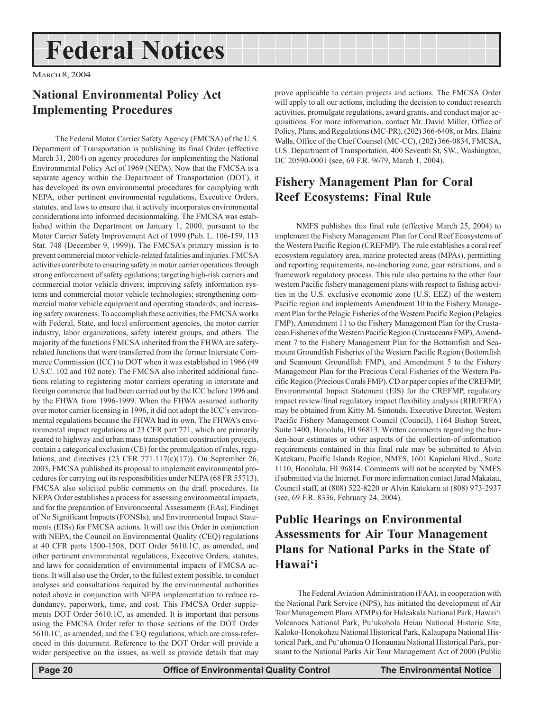## **Federal Notices**

MARCH 8, 2004

## **National Environmental Policy Act Implementing Procedures**

 The Federal Motor Carrier Safety Agency (FMCSA) of the U.S. Department of Transportation is publishing its final Order (effective March 31, 2004) on agency procedures for implementing the National Environmental Policy Act of 1969 (NEPA). Now that the FMCSA is a separate agency within the Department of Transportation (DOT), it has developed its own environmental procedures for complying with NEPA, other pertinent environmental regulations, Executive Orders, statutes, and laws to ensure that it actively incorporates environmental considerations into informed decisionmaking. The FMCSA was established within the Department on January 1, 2000, pursuant to the Motor Carrier Safety Improvement Act of 1999 (Pub. L. 106-159, 113 Stat. 748 (December 9, 1999)). The FMCSA's primary mission is to prevent commercial motor vehicle-related fatalities and injuries. FMCSA activities contribute to ensuring safety in motor carrier operations through strong enforcement of safety egulations; targeting high-risk carriers and commercial motor vehicle drivers; improving safety information systems and commercial motor vehicle technologies; strengthening commercial motor vehicle equipment and operating standards; and increasing safety awareness. To accomplish these activities, the FMCSA works with Federal, State, and local enforcement agencies, the motor carrier industry, labor organizations, safety interest groups, and others. The majority of the functions FMCSA inherited from the FHWA are safetyrelated functions that were transferred from the former Interstate Commerce Commission (ICC) to DOT when it was established in 1966 (49 U.S.C. 102 and 102 note). The FMCSA also inherited additional functions relating to registering motor carriers operating in interstate and foreign commerce that had been carried out by the ICC before 1996 and by the FHWA from 1996-1999. When the FHWA assumed authority over motor carrier licensing in 1996, it did not adopt the ICC's environmental regulations because the FHWA had its own. The FHWA's environmental impact regulations at 23 CFR part 771, which are primarily geared to highway and urban mass transportation construction projects, contain a categorical exclusion (CE) for the promulgation of rules, regulations, and directives (23 CFR 771.117(c)(17)). On September 26, 2003, FMCSA published its proposal to implement environmental procedures for carrying out its responsibilities under NEPA (68 FR 55713). FMCSA also solicited public comments on the draft procedures. Its NEPA Order establishes a process for assessing environmental impacts, and for the preparation of Environmental Assessments (EAs), Findings of No Significant Impacts (FONSIs), and Environmental Impact Statements (EISs) for FMCSA actions. It will use this Order in conjunction with NEPA, the Council on Environmental Quality (CEQ) regulations at 40 CFR parts 1500-1508, DOT Order 5610.1C, as amended, and other pertinent environmental regulations, Executive Orders, statutes, and laws for consideration of environmental impacts of FMCSA actions. It will also use the Order, to the fullest extent possible, to conduct analyses and consultations required by the environmental authorities noted above in conjunction with NEPA implementation to reduce redundancy, paperwork, time, and cost. This FMCSA Order supplements DOT Order 5610.1C, as amended. It is important that persons using the FMCSA Order refer to those sections of the DOT Order 5610.1C, as amended, and the CEQ regulations, which are cross-referenced in this document. Reference to the DOT Order will provide a wider perspective on the issues, as well as provide details that may

prove applicable to certain projects and actions. The FMCSA Order will apply to all our actions, including the decision to conduct research activities, promulgate regulations, award grants, and conduct major acquisitions. For more information, contact Mr. David Miller, Office of Policy, Plans, and Regulations (MC-PR), (202) 366-6408, or Mrs. Elaine Walls, Office of the Chief Counsel (MC-CC), (202) 366-0834, FMCSA, U.S. Department of Transportation, 400 Seventh St, SW., Washington, DC 20590-0001 (see, 69 F.R. 9679, March 1, 2004).

## **Fishery Management Plan for Coral Reef Ecosystems: Final Rule**

NMFS publishes this final rule (effective March 25, 2004) to implement the Fishery Management Plan for Coral Reef Ecosystems of the Western Pacific Region (CREFMP). The rule establishes a coral reef ecosystem regulatory area, marine protected areas (MPAs), permitting and reporting requirements, no-anchoring zone, gear rstrictions, and a framework regulatory process. This rule also pertains to the other four western Pacific fishery management plans with respect to fishing activities in the U.S. exclusive economic zone (U.S. EEZ) of the western Pacific region and implements Amendment 10 to the Fishery Management Plan for the Pelagic Fisheries of the Western Pacific Region (Pelagics FMP), Amendment 11 to the Fishery Management Plan for the Crustacean Fisheries of the Western Pacific Region (Crustaceans FMP), Amendment 7 to the Fishery Management Plan for the Bottomfish and Seamount Groundfish Fisheries of the Western Pacific Region (Bottomfish and Seamount Groundfish FMP), and Amendment 5 to the Fishery Management Plan for the Precious Coral Fisheries of the Western Pacific Region (Precious Corals FMP). CD or paper copies of the CREFMP, Environmental Impact Statement (EIS) for the CREFMP, regulatory impact review/final regulatory impact flexibility analysis (RIR/FRFA) may be obtained from Kitty M. Simonds, Executive Director, Western Pacific Fishery Management Council (Council), 1164 Bishop Street, Suite 1400, Honolulu, HI 96813. Written comments regarding the burden-hour estimates or other aspects of the collection-of-information requirements contained in this final rule may be submitted to Alvin Katekaru, Pacific Islands Region, NMFS, 1601 Kapiolani Blvd., Suite 1110, Honolulu, HI 96814. Comments will not be accepted by NMFS if submitted via the Internet. For more information contact Jarad Makaiau, Council staff, at (808) 522-8220 or Alvin Katekaru at (808) 973-2937 (see, 69 F.R. 8336, February 24, 2004).

## **Public Hearings on Environmental Assessments for Air Tour Management Plans for National Parks in the State of Hawai'i**

 The Federal Aviation Administration (FAA), in cooperation with the National Park Service (NPS), has initiated the development of Air Tour Management Plans ATMPs) for Haleakala National Park, Hawai'i Volcanoes National Park, Pu'ukohola Heiau National Historic Site, Kaloko-Honokohau National Historical Park, Kalaupapa National Historical Park, and Pu'uhonua O Honaunau National Historical Park, pursuant to the National Parks Air Tour Management Act of 2000 (Public